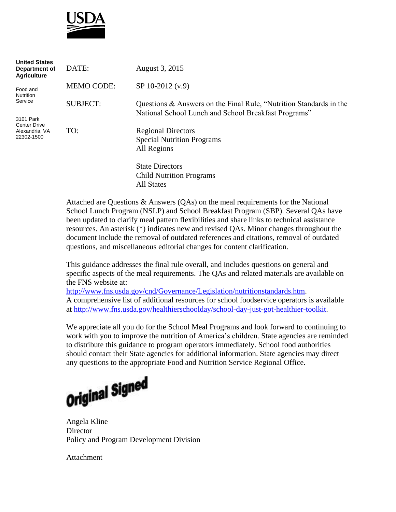

| <b>United States</b><br>Department of<br><b>Agriculture</b>                                                 | DATE:             | August 3, 2015                                                                                                             |
|-------------------------------------------------------------------------------------------------------------|-------------------|----------------------------------------------------------------------------------------------------------------------------|
| Food and<br><b>Nutrition</b><br>Service<br>3101 Park<br><b>Center Drive</b><br>Alexandria, VA<br>22302-1500 | <b>MEMO CODE:</b> | SP 10-2012 (v.9)                                                                                                           |
|                                                                                                             | <b>SUBJECT:</b>   | Questions & Answers on the Final Rule, "Nutrition Standards in the<br>National School Lunch and School Breakfast Programs" |
|                                                                                                             | TO:               | <b>Regional Directors</b><br><b>Special Nutrition Programs</b><br>All Regions                                              |
|                                                                                                             |                   | <b>State Directors</b><br><b>Child Nutrition Programs</b><br>All States                                                    |

Attached are Questions & Answers (QAs) on the meal requirements for the National School Lunch Program (NSLP) and School Breakfast Program (SBP). Several QAs have been updated to clarify meal pattern flexibilities and share links to technical assistance resources. An asterisk (\*) indicates new and revised QAs. Minor changes throughout the document include the removal of outdated references and citations, removal of outdated questions, and miscellaneous editorial changes for content clarification.

This guidance addresses the final rule overall, and includes questions on general and specific aspects of the meal requirements. The QAs and related materials are available on the FNS website at:

[http://www.fns.usda.gov/cnd/Governance/Legislation/nutritionstandards.htm.](http://www.fns.usda.gov/cnd/Governance/Legislation/nutritionstandards.htm) A comprehensive list of additional resources for school foodservice operators is available at [http://www.fns.usda.gov/healthierschoolday/school-day-just-got-healthier-toolkit.](http://www.fns.usda.gov/healthierschoolday/school-day-just-got-healthier-toolkit)

We appreciate all you do for the School Meal Programs and look forward to continuing to work with you to improve the nutrition of America's children. State agencies are reminded to distribute this guidance to program operators immediately. School food authorities should contact their State agencies for additional information. State agencies may direct any questions to the appropriate Food and Nutrition Service Regional Office.



Angela Kline **Director** Policy and Program Development Division

Attachment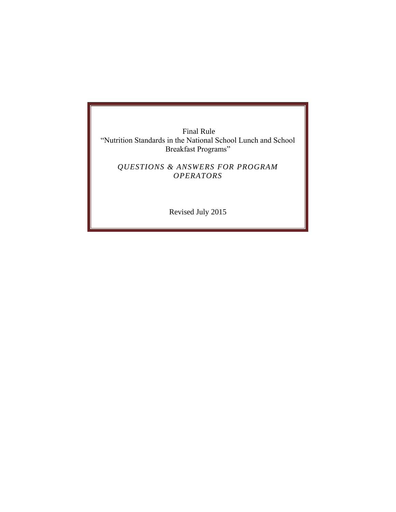Final Rule "Nutrition Standards in the National School Lunch and School Breakfast Programs"

*QUESTIONS & ANSWERS FOR PROGRAM OPERATORS*

Revised July 2015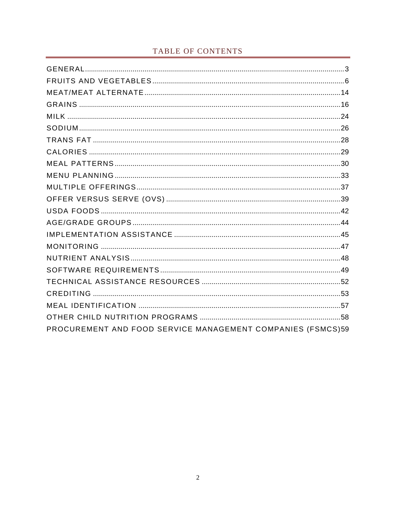# TABLE OF CONTENTS

| PROCUREMENT AND FOOD SERVICE MANAGEMENT COMPANIES (FSMCS)59 |  |  |  |  |
|-------------------------------------------------------------|--|--|--|--|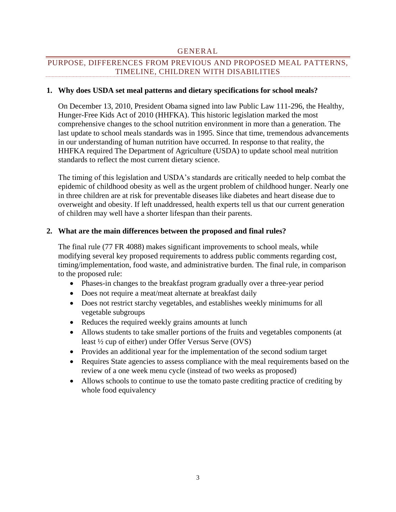### GENERAL

# <span id="page-3-0"></span>PURPOSE, DIFFERENCES FROM PREVIOUS AND PROPOSED MEAL PATTERNS, TIMELINE, CHILDREN WITH DISABILITIES

### **1. Why does USDA set meal patterns and dietary specifications for school meals?**

On December 13, 2010, President Obama signed into law Public Law 111-296, the Healthy, Hunger-Free Kids Act of 2010 (HHFKA). This historic legislation marked the most comprehensive changes to the school nutrition environment in more than a generation. The last update to school meals standards was in 1995. Since that time, tremendous advancements in our understanding of human nutrition have occurred. In response to that reality, the HHFKA required The Department of Agriculture (USDA) to update school meal nutrition standards to reflect the most current dietary science.

The timing of this legislation and USDA's standards are critically needed to help combat the epidemic of childhood obesity as well as the urgent problem of childhood hunger. Nearly one in three children are at risk for preventable diseases like diabetes and heart disease due to overweight and obesity. If left unaddressed, health experts tell us that our current generation of children may well have a shorter lifespan than their parents.

### **2. What are the main differences between the proposed and final rules?**

The final rule (77 FR 4088) makes significant improvements to school meals, while modifying several key proposed requirements to address public comments regarding cost, timing/implementation, food waste, and administrative burden. The final rule, in comparison to the proposed rule:

- Phases-in changes to the breakfast program gradually over a three-year period
- Does not require a meat/meat alternate at breakfast daily
- Does not restrict starchy vegetables, and establishes weekly minimums for all vegetable subgroups
- Reduces the required weekly grains amounts at lunch
- Allows students to take smaller portions of the fruits and vegetables components (at least ½ cup of either) under Offer Versus Serve (OVS)
- Provides an additional year for the implementation of the second sodium target
- Requires State agencies to assess compliance with the meal requirements based on the review of a one week menu cycle (instead of two weeks as proposed)
- Allows schools to continue to use the tomato paste crediting practice of crediting by whole food equivalency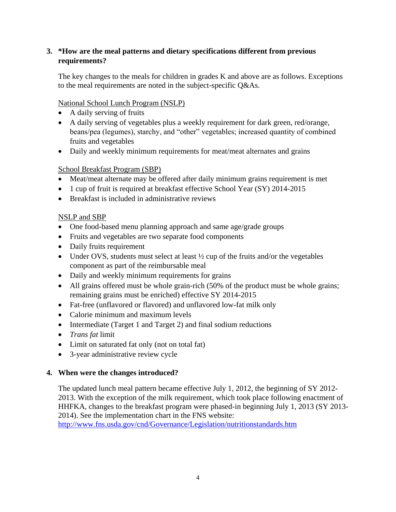# **3. \*How are the meal patterns and dietary specifications different from previous requirements?**

The key changes to the meals for children in grades K and above are as follows. Exceptions to the meal requirements are noted in the subject-specific Q&As.

# National School Lunch Program (NSLP)

- A daily serving of fruits
- A daily serving of vegetables plus a weekly requirement for dark green, red/orange, beans/pea (legumes), starchy, and "other" vegetables; increased quantity of combined fruits and vegetables
- Daily and weekly minimum requirements for meat/meat alternates and grains

# School Breakfast Program (SBP)

- Meat/meat alternate may be offered after daily minimum grains requirement is met
- 1 cup of fruit is required at breakfast effective School Year (SY) 2014-2015
- Breakfast is included in administrative reviews

# NSLP and SBP

- One food-based menu planning approach and same age/grade groups
- Fruits and vegetables are two separate food components
- Daily fruits requirement
- Under OVS, students must select at least 1/2 cup of the fruits and/or the vegetables component as part of the reimbursable meal
- Daily and weekly minimum requirements for grains
- All grains offered must be whole grain-rich (50% of the product must be whole grains; remaining grains must be enriched) effective SY 2014-2015
- Fat-free (unflavored or flavored) and unflavored low-fat milk only
- Calorie minimum and maximum levels
- Intermediate (Target 1 and Target 2) and final sodium reductions
- *Trans fat* limit
- Limit on saturated fat only (not on total fat)
- 3-year administrative review cycle

# **4. When were the changes introduced?**

The updated lunch meal pattern became effective July 1, 2012, the beginning of SY 2012- 2013. With the exception of the milk requirement, which took place following enactment of HHFKA, changes to the breakfast program were phased-in beginning July 1, 2013 (SY 2013- 2014). See the implementation chart in the FNS website:

<http://www.fns.usda.gov/cnd/Governance/Legislation/nutritionstandards.htm>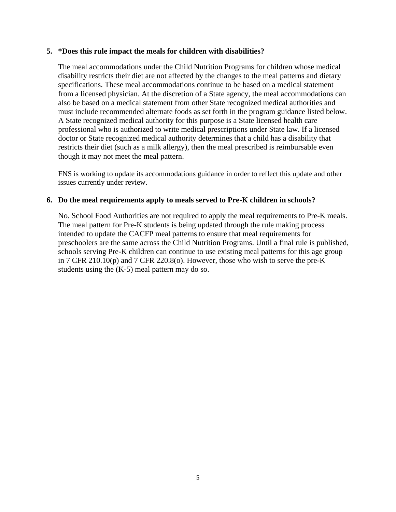#### **5. \*Does this rule impact the meals for children with disabilities?**

The meal accommodations under the Child Nutrition Programs for children whose medical disability restricts their diet are not affected by the changes to the meal patterns and dietary specifications. These meal accommodations continue to be based on a medical statement from a licensed physician. At the discretion of a State agency, the meal accommodations can also be based on a medical statement from other State recognized medical authorities and must include recommended alternate foods as set forth in the program guidance listed below. A State recognized medical authority for this purpose is a State licensed health care professional who is authorized to write medical prescriptions under State law. If a licensed doctor or State recognized medical authority determines that a child has a disability that restricts their diet (such as a milk allergy), then the meal prescribed is reimbursable even though it may not meet the meal pattern.

FNS is working to update its accommodations guidance in order to reflect this update and other issues currently under review.

### **6. Do the meal requirements apply to meals served to Pre-K children in schools?**

No. School Food Authorities are not required to apply the meal requirements to Pre-K meals. The meal pattern for Pre-K students is being updated through the rule making process intended to update the CACFP meal patterns to ensure that meal requirements for preschoolers are the same across the Child Nutrition Programs. Until a final rule is published, schools serving Pre-K children can continue to use existing meal patterns for this age group in 7 CFR 210.10(p) and 7 CFR 220.8(o). However, those who wish to serve the pre-K students using the (K-5) meal pattern may do so.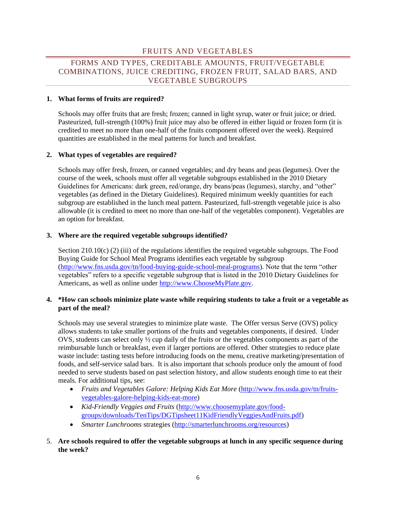### FRUITS AND VEGETABLES

# <span id="page-6-0"></span>FORMS AND TYPES, CREDITABLE AMOUNTS, FRUIT/VEGETABLE COMBINATIONS, JUICE CREDITING, FROZEN FRUIT, SALAD BARS, AND VEGETABLE SUBGROUPS

#### **1. What forms of fruits are required?**

Schools may offer fruits that are fresh; frozen; canned in light syrup, water or fruit juice; or dried. Pasteurized, full-strength (100%) fruit juice may also be offered in either liquid or frozen form (it is credited to meet no more than one-half of the fruits component offered over the week). Required quantities are established in the meal patterns for lunch and breakfast.

#### **2. What types of vegetables are required?**

Schools may offer fresh, frozen, or canned vegetables; and dry beans and peas (legumes). Over the course of the week, schools must offer all vegetable subgroups established in the 2010 Dietary Guidelines for Americans: dark green, red/orange, dry beans/peas (legumes), starchy, and "other" vegetables (as defined in the Dietary Guidelines). Required minimum weekly quantities for each subgroup are established in the lunch meal pattern. Pasteurized, full-strength vegetable juice is also allowable (it is credited to meet no more than one-half of the vegetables component). Vegetables are an option for breakfast.

#### **3. Where are the required vegetable subgroups identified?**

Section 210.10(c) (2) (iii) of the regulations identifies the required vegetable subgroups. The Food Buying Guide for School Meal Programs identifies each vegetable by subgroup [\(http://www.fns.usda.gov/tn/food-buying-guide-school-meal-programs\)](http://www.fns.usda.gov/tn/food-buying-guide-school-meal-programs). Note that the term "other vegetables" refers to a specific vegetable subgroup that is listed in the 2010 Dietary Guidelines for Americans, as well as online under [http://www.ChooseMyPlate.gov.](http://www.choosemyplate.gov/)

#### **4. \*How can schools minimize plate waste while requiring students to take a fruit or a vegetable as part of the meal?**

Schools may use several strategies to minimize plate waste. The Offer versus Serve (OVS) policy allows students to take smaller portions of the fruits and vegetables components, if desired. Under OVS, students can select only ½ cup daily of the fruits or the vegetables components as part of the reimbursable lunch or breakfast, even if larger portions are offered. Other strategies to reduce plate waste include: tasting tests before introducing foods on the menu, creative marketing/presentation of foods, and self-service salad bars. It is also important that schools produce only the amount of food needed to serve students based on past selection history, and allow students enough time to eat their meals. For additional tips, see:

- *Fruits and Vegetables Galore: Helping Kids Eat More* [\(http://www.fns.usda.gov/tn/fruits](http://www.fns.usda.gov/tn/fruits-vegetables-galore-helping-kids-eat-more)[vegetables-galore-helping-kids-eat-more\)](http://www.fns.usda.gov/tn/fruits-vegetables-galore-helping-kids-eat-more)
- *Kid-Friendly Veggies and Fruits* [\(http://www.choosemyplate.gov/food](http://www.choosemyplate.gov/food-groups/downloads/TenTips/DGTipsheet11KidFriendlyVeggiesAndFruits.pdf)[groups/downloads/TenTips/DGTipsheet11KidFriendlyVeggiesAndFruits.pdf\)](http://www.choosemyplate.gov/food-groups/downloads/TenTips/DGTipsheet11KidFriendlyVeggiesAndFruits.pdf)
- *Smarter Lunchrooms* strategies [\(http://smarterlunchrooms.org/resources\)](http://smarterlunchrooms.org/resources)
- 5. **Are schools required to offer the vegetable subgroups at lunch in any specific sequence during the week?**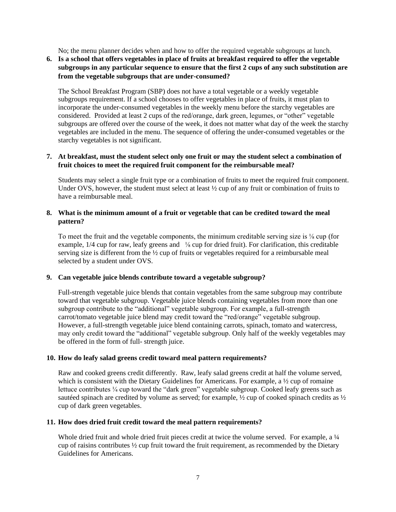No; the menu planner decides when and how to offer the required vegetable subgroups at lunch.

#### **6. Is a school that offers vegetables in place of fruits at breakfast required to offer the vegetable subgroups in any particular sequence to ensure that the first 2 cups of any such substitution are from the vegetable subgroups that are under-consumed?**

The School Breakfast Program (SBP) does not have a total vegetable or a weekly vegetable subgroups requirement. If a school chooses to offer vegetables in place of fruits, it must plan to incorporate the under-consumed vegetables in the weekly menu before the starchy vegetables are considered. Provided at least 2 cups of the red/orange, dark green, legumes, or "other" vegetable subgroups are offered over the course of the week, it does not matter what day of the week the starchy vegetables are included in the menu. The sequence of offering the under-consumed vegetables or the starchy vegetables is not significant.

#### **7. At breakfast, must the student select only one fruit or may the student select a combination of fruit choices to meet the required fruit component for the reimbursable meal?**

Students may select a single fruit type or a combination of fruits to meet the required fruit component. Under OVS, however, the student must select at least ½ cup of any fruit or combination of fruits to have a reimbursable meal.

#### **8. What is the minimum amount of a fruit or vegetable that can be credited toward the meal pattern?**

To meet the fruit and the vegetable components, the minimum creditable serving size is ⅛ cup (for example,  $1/4$  cup for raw, leafy greens and  $\frac{1}{8}$  cup for dried fruit). For clarification, this creditable serving size is different from the  $\frac{1}{2}$  cup of fruits or vegetables required for a reimbursable meal selected by a student under OVS.

#### **9. Can vegetable juice blends contribute toward a vegetable subgroup?**

Full-strength vegetable juice blends that contain vegetables from the same subgroup may contribute toward that vegetable subgroup. Vegetable juice blends containing vegetables from more than one subgroup contribute to the "additional" vegetable subgroup. For example, a full-strength carrot/tomato vegetable juice blend may credit toward the "red/orange" vegetable subgroup. However, a full-strength vegetable juice blend containing carrots, spinach, tomato and watercress, may only credit toward the "additional" vegetable subgroup. Only half of the weekly vegetables may be offered in the form of full- strength juice.

#### **10. How do leafy salad greens credit toward meal pattern requirements?**

Raw and cooked greens credit differently. Raw, leafy salad greens credit at half the volume served, which is consistent with the Dietary Guidelines for Americans. For example, a  $\frac{1}{2}$  cup of romaine lettuce contributes <sup>1/4</sup> cup toward the "dark green" vegetable subgroup. Cooked leafy greens such as sautéed spinach are credited by volume as served; for example,  $\frac{1}{2}$  cup of cooked spinach credits as  $\frac{1}{2}$ cup of dark green vegetables.

#### **11. How does dried fruit credit toward the meal pattern requirements?**

Whole dried fruit and whole dried fruit pieces credit at twice the volume served. For example, a 1/4 cup of raisins contributes  $\frac{1}{2}$  cup fruit toward the fruit requirement, as recommended by the Dietary Guidelines for Americans.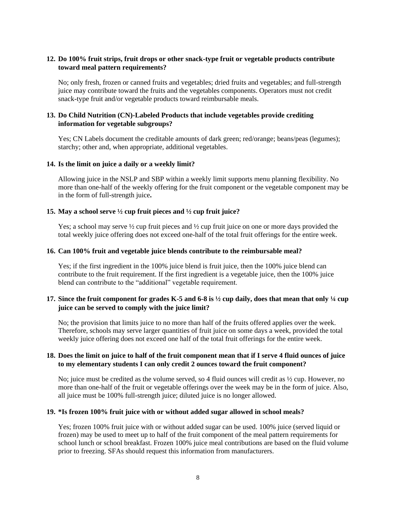#### **12. Do 100% fruit strips, fruit drops or other snack-type fruit or vegetable products contribute toward meal pattern requirements?**

No; only fresh, frozen or canned fruits and vegetables; dried fruits and vegetables; and full-strength juice may contribute toward the fruits and the vegetables components. Operators must not credit snack-type fruit and/or vegetable products toward reimbursable meals.

#### **13. Do Child Nutrition (CN)-Labeled Products that include vegetables provide crediting information for vegetable subgroups?**

Yes; CN Labels document the creditable amounts of dark green; red/orange; beans/peas (legumes); starchy; other and, when appropriate, additional vegetables.

#### **14. Is the limit on juice a daily or a weekly limit?**

Allowing juice in the NSLP and SBP within a weekly limit supports menu planning flexibility. No more than one-half of the weekly offering for the fruit component or the vegetable component may be in the form of full-strength juice**.**

#### **15. May a school serve ½ cup fruit pieces and ½ cup fruit juice?**

Yes; a school may serve  $\frac{1}{2}$  cup fruit pieces and  $\frac{1}{2}$  cup fruit juice on one or more days provided the total weekly juice offering does not exceed one-half of the total fruit offerings for the entire week.

#### **16. Can 100% fruit and vegetable juice blends contribute to the reimbursable meal?**

Yes; if the first ingredient in the 100% juice blend is fruit juice, then the 100% juice blend can contribute to the fruit requirement. If the first ingredient is a vegetable juice, then the 100% juice blend can contribute to the "additional" vegetable requirement.

#### **17. Since the fruit component for grades K-5 and 6-8 is ½ cup daily, does that mean that only ¼ cup juice can be served to comply with the juice limit?**

No; the provision that limits juice to no more than half of the fruits offered applies over the week. Therefore, schools may serve larger quantities of fruit juice on some days a week, provided the total weekly juice offering does not exceed one half of the total fruit offerings for the entire week.

#### **18. Does the limit on juice to half of the fruit component mean that if I serve 4 fluid ounces of juice to my elementary students I can only credit 2 ounces toward the fruit component?**

No; juice must be credited as the volume served, so 4 fluid ounces will credit as ½ cup. However, no more than one-half of the fruit or vegetable offerings over the week may be in the form of juice. Also, all juice must be 100% full-strength juice; diluted juice is no longer allowed.

#### **19. \*Is frozen 100% fruit juice with or without added sugar allowed in school meals?**

Yes; frozen 100% fruit juice with or without added sugar can be used. 100% juice (served liquid or frozen) may be used to meet up to half of the fruit component of the meal pattern requirements for school lunch or school breakfast. Frozen 100% juice meal contributions are based on the fluid volume prior to freezing. SFAs should request this information from manufacturers.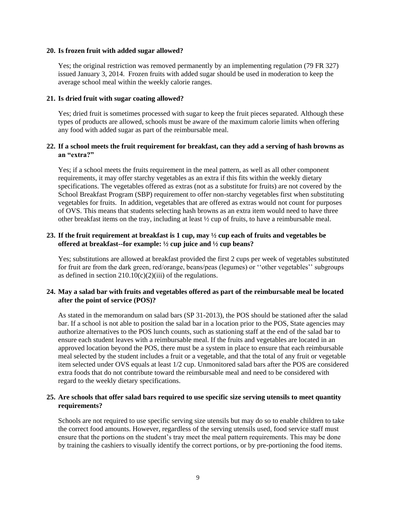#### **20. Is frozen fruit with added sugar allowed?**

Yes; the original restriction was removed permanently by an implementing regulation (79 FR 327) issued January 3, 2014. Frozen fruits with added sugar should be used in moderation to keep the average school meal within the weekly calorie ranges.

#### **21. Is dried fruit with sugar coating allowed?**

Yes; dried fruit is sometimes processed with sugar to keep the fruit pieces separated. Although these types of products are allowed, schools must be aware of the maximum calorie limits when offering any food with added sugar as part of the reimbursable meal.

#### **22. If a school meets the fruit requirement for breakfast, can they add a serving of hash browns as an "extra?"**

Yes; if a school meets the fruits requirement in the meal pattern, as well as all other component requirements, it may offer starchy vegetables as an extra if this fits within the weekly dietary specifications. The vegetables offered as extras (not as a substitute for fruits) are not covered by the School Breakfast Program (SBP) requirement to offer non-starchy vegetables first when substituting vegetables for fruits. In addition, vegetables that are offered as extras would not count for purposes of OVS. This means that students selecting hash browns as an extra item would need to have three other breakfast items on the tray, including at least  $\frac{1}{2}$  cup of fruits, to have a reimbursable meal.

#### **23. If the fruit requirement at breakfast is 1 cup, may ½ cup each of fruits and vegetables be offered at breakfast--for example: ½ cup juice and ½ cup beans?**

Yes; substitutions are allowed at breakfast provided the first 2 cups per week of vegetables substituted for fruit are from the dark green, red/orange, beans/peas (legumes) or ''other vegetables'' subgroups as defined in section  $210.10(c)(2)(iii)$  of the regulations.

#### **24. May a salad bar with fruits and vegetables offered as part of the reimbursable meal be located after the point of service (POS)?**

As stated in the memorandum on salad bars (SP 31-2013), the POS should be stationed after the salad bar. If a school is not able to position the salad bar in a location prior to the POS, State agencies may authorize alternatives to the POS lunch counts, such as stationing staff at the end of the salad bar to ensure each student leaves with a reimbursable meal. If the fruits and vegetables are located in an approved location beyond the POS, there must be a system in place to ensure that each reimbursable meal selected by the student includes a fruit or a vegetable, and that the total of any fruit or vegetable item selected under OVS equals at least 1/2 cup. Unmonitored salad bars after the POS are considered extra foods that do not contribute toward the reimbursable meal and need to be considered with regard to the weekly dietary specifications.

#### **25. Are schools that offer salad bars required to use specific size serving utensils to meet quantity requirements?**

Schools are not required to use specific serving size utensils but may do so to enable children to take the correct food amounts. However, regardless of the serving utensils used, food service staff must ensure that the portions on the student's tray meet the meal pattern requirements. This may be done by training the cashiers to visually identify the correct portions, or by pre-portioning the food items.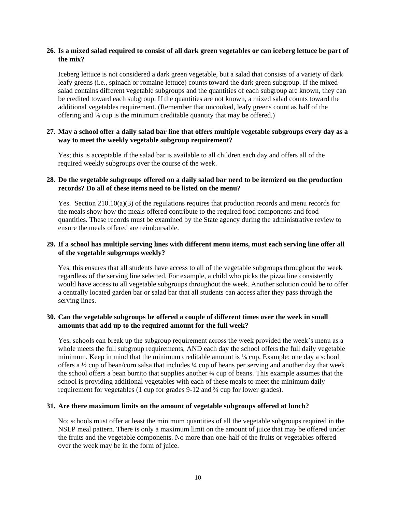#### **26. Is a mixed salad required to consist of all dark green vegetables or can iceberg lettuce be part of the mix?**

Iceberg lettuce is not considered a dark green vegetable, but a salad that consists of a variety of dark leafy greens (i.e., spinach or romaine lettuce) counts toward the dark green subgroup. If the mixed salad contains different vegetable subgroups and the quantities of each subgroup are known, they can be credited toward each subgroup. If the quantities are not known, a mixed salad counts toward the additional vegetables requirement. (Remember that uncooked, leafy greens count as half of the offering and ⅛ cup is the minimum creditable quantity that may be offered.)

#### **27. May a school offer a daily salad bar line that offers multiple vegetable subgroups every day as a way to meet the weekly vegetable subgroup requirement?**

Yes; this is acceptable if the salad bar is available to all children each day and offers all of the required weekly subgroups over the course of the week.

#### **28. Do the vegetable subgroups offered on a daily salad bar need to be itemized on the production records? Do all of these items need to be listed on the menu?**

Yes. Section 210.10(a)(3) of the regulations requires that production records and menu records for the meals show how the meals offered contribute to the required food components and food quantities. These records must be examined by the State agency during the administrative review to ensure the meals offered are reimbursable.

#### **29. If a school has multiple serving lines with different menu items, must each serving line offer all of the vegetable subgroups weekly?**

Yes, this ensures that all students have access to all of the vegetable subgroups throughout the week regardless of the serving line selected. For example, a child who picks the pizza line consistently would have access to all vegetable subgroups throughout the week. Another solution could be to offer a centrally located garden bar or salad bar that all students can access after they pass through the serving lines.

#### **30. Can the vegetable subgroups be offered a couple of different times over the week in small amounts that add up to the required amount for the full week?**

Yes, schools can break up the subgroup requirement across the week provided the week's menu as a whole meets the full subgroup requirements, AND each day the school offers the full daily vegetable minimum. Keep in mind that the minimum creditable amount is ⅛ cup. Example: one day a school offers a ½ cup of bean/corn salsa that includes ¼ cup of beans per serving and another day that week the school offers a bean burrito that supplies another ¼ cup of beans. This example assumes that the school is providing additional vegetables with each of these meals to meet the minimum daily requirement for vegetables (1 cup for grades 9-12 and ¾ cup for lower grades).

#### **31. Are there maximum limits on the amount of vegetable subgroups offered at lunch?**

No; schools must offer at least the minimum quantities of all the vegetable subgroups required in the NSLP meal pattern. There is only a maximum limit on the amount of juice that may be offered under the fruits and the vegetable components. No more than one-half of the fruits or vegetables offered over the week may be in the form of juice.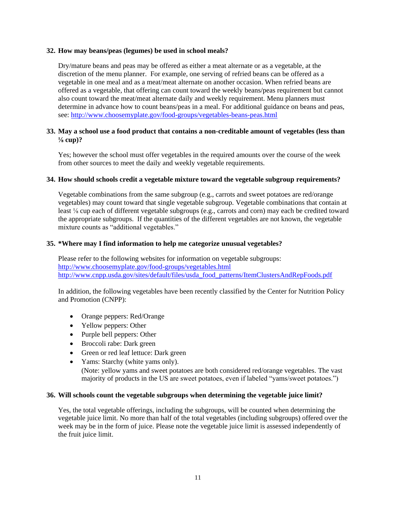#### **32. How may beans/peas (legumes) be used in school meals?**

Dry/mature beans and peas may be offered as either a meat alternate or as a vegetable, at the discretion of the menu planner. For example, one serving of refried beans can be offered as a vegetable in one meal and as a meat/meat alternate on another occasion. When refried beans are offered as a vegetable, that offering can count toward the weekly beans/peas requirement but cannot also count toward the meat/meat alternate daily and weekly requirement. Menu planners must determine in advance how to count beans/peas in a meal. For additional guidance on beans and peas, see:<http://www.choosemyplate.gov/food-groups/vegetables-beans-peas.html>

#### **33. May a school use a food product that contains a non-creditable amount of vegetables (less than ⅛ cup)?**

Yes; however the school must offer vegetables in the required amounts over the course of the week from other sources to meet the daily and weekly vegetable requirements.

#### **34. How should schools credit a vegetable mixture toward the vegetable subgroup requirements?**

Vegetable combinations from the same subgroup (e.g., carrots and sweet potatoes are red/orange vegetables) may count toward that single vegetable subgroup. Vegetable combinations that contain at least ⅛ cup each of different vegetable subgroups (e.g., carrots and corn) may each be credited toward the appropriate subgroups. If the quantities of the different vegetables are not known, the vegetable mixture counts as "additional vegetables."

#### **35. \*Where may I find information to help me categorize unusual vegetables?**

Please refer to the following websites for information on vegetable subgroups: <http://www.choosemyplate.gov/food-groups/vegetables.html> [http://www.cnpp.usda.gov/sites/default/files/usda\\_food\\_patterns/ItemClustersAndRepFoods.pdf](http://www.cnpp.usda.gov/sites/default/files/usda_food_patterns/ItemClustersAndRepFoods.pdf)

In addition, the following vegetables have been recently classified by the Center for Nutrition Policy and Promotion (CNPP):

- Orange peppers: Red/Orange
- Yellow peppers: Other
- Purple bell peppers: Other
- Broccoli rabe: Dark green
- Green or red leaf lettuce: Dark green
- Yams: Starchy (white yams only). (Note: yellow yams and sweet potatoes are both considered red/orange vegetables. The vast majority of products in the US are sweet potatoes, even if labeled "yams/sweet potatoes.")

#### **36. Will schools count the vegetable subgroups when determining the vegetable juice limit?**

Yes, the total vegetable offerings, including the subgroups, will be counted when determining the vegetable juice limit. No more than half of the total vegetables (including subgroups) offered over the week may be in the form of juice. Please note the vegetable juice limit is assessed independently of the fruit juice limit.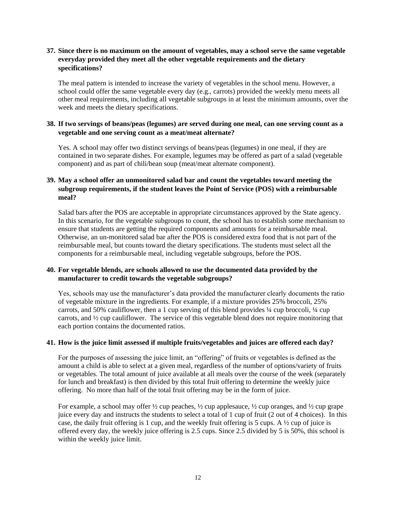#### **37. Since there is no maximum on the amount of vegetables, may a school serve the same vegetable everyday provided they meet all the other vegetable requirements and the dietary specifications?**

The meal pattern is intended to increase the variety of vegetables in the school menu. However, a school could offer the same vegetable every day (e.g., carrots) provided the weekly menu meets all other meal requirements, including all vegetable subgroups in at least the minimum amounts, over the week and meets the dietary specifications.

#### **38. If two servings of beans/peas (legumes) are served during one meal, can one serving count as a vegetable and one serving count as a meat/meat alternate?**

Yes. A school may offer two distinct servings of beans/peas (legumes) in one meal, if they are contained in two separate dishes. For example, legumes may be offered as part of a salad (vegetable component) and as part of chili/bean soup (meat/meat alternate component).

#### **39. May a school offer an unmonitored salad bar and count the vegetables toward meeting the subgroup requirements, if the student leaves the Point of Service (POS) with a reimbursable meal?**

Salad bars after the POS are acceptable in appropriate circumstances approved by the State agency. In this scenario, for the vegetable subgroups to count, the school has to establish some mechanism to ensure that students are getting the required components and amounts for a reimbursable meal. Otherwise, an un-monitored salad bar after the POS is considered extra food that is not part of the reimbursable meal, but counts toward the dietary specifications. The students must select all the components for a reimbursable meal, including vegetable subgroups, before the POS.

#### **40. For vegetable blends, are schools allowed to use the documented data provided by the manufacturer to credit towards the vegetable subgroups?**

Yes, schools may use the manufacturer's data provided the manufacturer clearly documents the ratio of vegetable mixture in the ingredients. For example, if a mixture provides 25% broccoli, 25% carrots, and 50% cauliflower, then a 1 cup serving of this blend provides ¼ cup broccoli, ¼ cup carrots, and ½ cup cauliflower. The service of this vegetable blend does not require monitoring that each portion contains the documented ratios.

#### **41. How is the juice limit assessed if multiple fruits/vegetables and juices are offered each day?**

For the purposes of assessing the juice limit, an "offering" of fruits or vegetables is defined as the amount a child is able to select at a given meal, regardless of the number of options/variety of fruits or vegetables. The total amount of juice available at all meals over the course of the week (separately for lunch and breakfast) is then divided by this total fruit offering to determine the weekly juice offering. No more than half of the total fruit offering may be in the form of juice.

For example, a school may offer  $\frac{1}{2}$  cup peaches,  $\frac{1}{2}$  cup applesauce,  $\frac{1}{2}$  cup oranges, and  $\frac{1}{2}$  cup grape juice every day and instructs the students to select a total of 1 cup of fruit (2 out of 4 choices). In this case, the daily fruit offering is 1 cup, and the weekly fruit offering is 5 cups. A  $\frac{1}{2}$  cup of juice is offered every day, the weekly juice offering is 2.5 cups. Since 2.5 divided by 5 is 50%, this school is within the weekly juice limit.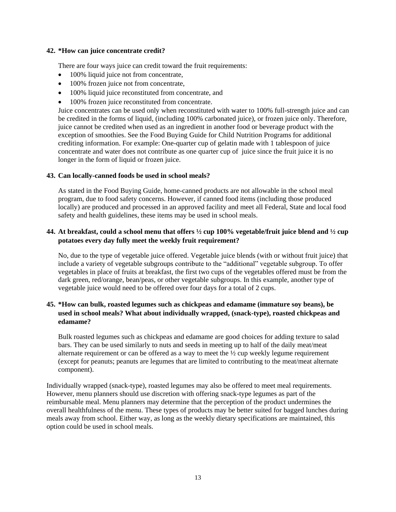#### **42. \*How can juice concentrate credit?**

There are four ways juice can credit toward the fruit requirements:

- 100% liquid juice not from concentrate,
- 100% frozen juice not from concentrate,
- 100% liquid juice reconstituted from concentrate, and
- 100% frozen juice reconstituted from concentrate.

Juice concentrates can be used only when reconstituted with water to 100% full-strength juice and can be credited in the forms of liquid, (including 100% carbonated juice), or frozen juice only. Therefore, juice cannot be credited when used as an ingredient in another food or beverage product with the exception of smoothies. See the Food Buying Guide for Child Nutrition Programs for additional crediting information. For example: One-quarter cup of gelatin made with 1 tablespoon of juice concentrate and water does not contribute as one quarter cup of juice since the fruit juice it is no longer in the form of liquid or frozen juice.

#### **43. Can locally-canned foods be used in school meals?**

As stated in the Food Buying Guide, home-canned products are not allowable in the school meal program, due to food safety concerns. However, if canned food items (including those produced locally) are produced and processed in an approved facility and meet all Federal, State and local food safety and health guidelines, these items may be used in school meals.

#### **44. At breakfast, could a school menu that offers ½ cup 100% vegetable/fruit juice blend and ½ cup potatoes every day fully meet the weekly fruit requirement?**

No, due to the type of vegetable juice offered. Vegetable juice blends (with or without fruit juice) that include a variety of vegetable subgroups contribute to the "additional" vegetable subgroup. To offer vegetables in place of fruits at breakfast, the first two cups of the vegetables offered must be from the dark green, red/orange, bean/peas, or other vegetable subgroups. In this example, another type of vegetable juice would need to be offered over four days for a total of 2 cups.

#### **45. \*How can bulk, roasted legumes such as chickpeas and edamame (immature soy beans), be used in school meals? What about individually wrapped, (snack-type), roasted chickpeas and edamame?**

Bulk roasted legumes such as chickpeas and edamame are good choices for adding texture to salad bars. They can be used similarly to nuts and seeds in meeting up to half of the daily meat/meat alternate requirement or can be offered as a way to meet the  $\frac{1}{2}$  cup weekly legume requirement (except for peanuts; peanuts are legumes that are limited to contributing to the meat/meat alternate component).

Individually wrapped (snack-type), roasted legumes may also be offered to meet meal requirements. However, menu planners should use discretion with offering snack-type legumes as part of the reimbursable meal. Menu planners may determine that the perception of the product undermines the overall healthfulness of the menu. These types of products may be better suited for bagged lunches during meals away from school. Either way, as long as the weekly dietary specifications are maintained, this option could be used in school meals.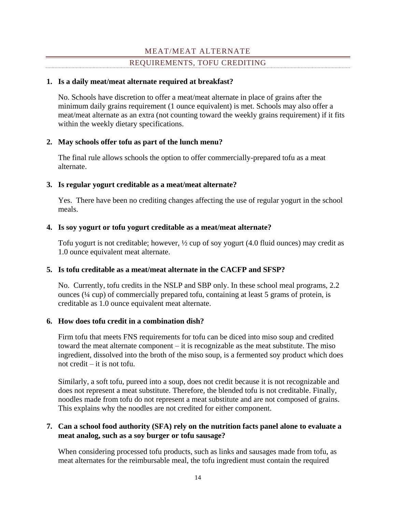# MEAT/MEAT ALTERNATE

# REQUIREMENTS, TOFU CREDITING

#### <span id="page-14-0"></span>**1. Is a daily meat/meat alternate required at breakfast?**

No. Schools have discretion to offer a meat/meat alternate in place of grains after the minimum daily grains requirement (1 ounce equivalent) is met. Schools may also offer a meat/meat alternate as an extra (not counting toward the weekly grains requirement) if it fits within the weekly dietary specifications.

# **2. May schools offer tofu as part of the lunch menu?**

The final rule allows schools the option to offer commercially-prepared tofu as a meat alternate.

### **3. Is regular yogurt creditable as a meat/meat alternate?**

Yes. There have been no crediting changes affecting the use of regular yogurt in the school meals.

### **4. Is soy yogurt or tofu yogurt creditable as a meat/meat alternate?**

Tofu yogurt is not creditable; however, ½ cup of soy yogurt (4.0 fluid ounces) may credit as 1.0 ounce equivalent meat alternate.

# **5. Is tofu creditable as a meat/meat alternate in the CACFP and SFSP?**

No. Currently, tofu credits in the NSLP and SBP only. In these school meal programs, 2.2 ounces (¼ cup) of commercially prepared tofu, containing at least 5 grams of protein, is creditable as 1.0 ounce equivalent meat alternate.

### **6. How does tofu credit in a combination dish?**

Firm tofu that meets FNS requirements for tofu can be diced into miso soup and credited toward the meat alternate component – it is recognizable as the meat substitute. The miso ingredient, dissolved into the broth of the miso soup, is a fermented soy product which does not credit – it is not tofu.

Similarly, a soft tofu, pureed into a soup, does not credit because it is not recognizable and does not represent a meat substitute. Therefore, the blended tofu is not creditable. Finally, noodles made from tofu do not represent a meat substitute and are not composed of grains. This explains why the noodles are not credited for either component.

# **7. Can a school food authority (SFA) rely on the nutrition facts panel alone to evaluate a meat analog, such as a soy burger or tofu sausage?**

When considering processed tofu products, such as links and sausages made from tofu, as meat alternates for the reimbursable meal, the tofu ingredient must contain the required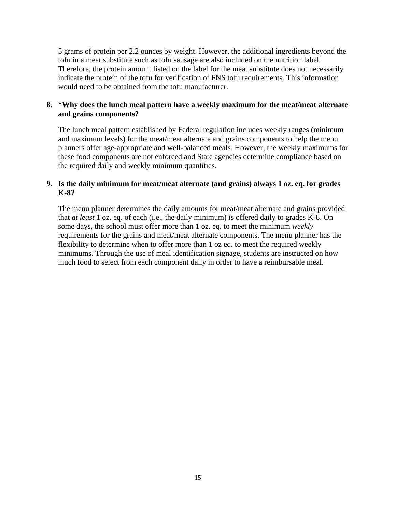5 grams of protein per 2.2 ounces by weight. However, the additional ingredients beyond the tofu in a meat substitute such as tofu sausage are also included on the nutrition label. Therefore, the protein amount listed on the label for the meat substitute does not necessarily indicate the protein of the tofu for verification of FNS tofu requirements. This information would need to be obtained from the tofu manufacturer.

# **8. \*Why does the lunch meal pattern have a weekly maximum for the meat/meat alternate and grains components?**

The lunch meal pattern established by Federal regulation includes weekly ranges (minimum and maximum levels) for the meat/meat alternate and grains components to help the menu planners offer age-appropriate and well-balanced meals. However, the weekly maximums for these food components are not enforced and State agencies determine compliance based on the required daily and weekly minimum quantities.

# **9. Is the daily minimum for meat/meat alternate (and grains) always 1 oz. eq. for grades K-8?**

The menu planner determines the daily amounts for meat/meat alternate and grains provided that *at least* 1 oz. eq. of each (i.e., the daily minimum) is offered daily to grades K-8. On some days, the school must offer more than 1 oz. eq. to meet the minimum *weekly* requirements for the grains and meat/meat alternate components. The menu planner has the flexibility to determine when to offer more than 1 oz eq. to meet the required weekly minimums. Through the use of meal identification signage, students are instructed on how much food to select from each component daily in order to have a reimbursable meal.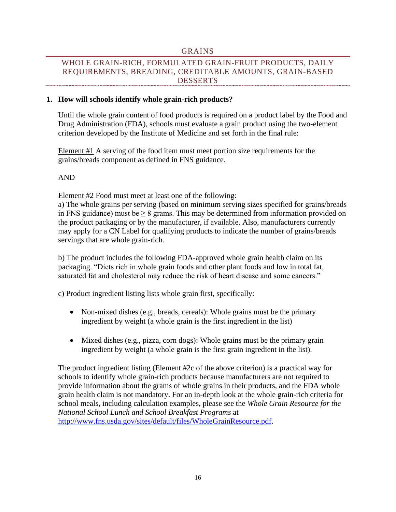#### GRAINS

# <span id="page-16-0"></span>WHOLE GRAIN-RICH, FORMULATED GRAIN-FRUIT PRODUCTS, DAILY REQUIREMENTS, BREADING, CREDITABLE AMOUNTS, GRAIN-BASED DESSERTS

#### **1. How will schools identify whole grain-rich products?**

Until the whole grain content of food products is required on a product label by the Food and Drug Administration (FDA), schools must evaluate a grain product using the two-element criterion developed by the Institute of Medicine and set forth in the final rule:

Element #1 A serving of the food item must meet portion size requirements for the grains/breads component as defined in FNS guidance.

AND

Element #2 Food must meet at least one of the following:

a) The whole grains per serving (based on minimum serving sizes specified for grains/breads in FNS guidance) must be  $\geq 8$  grams. This may be determined from information provided on the product packaging or by the manufacturer, if available. Also, manufacturers currently may apply for a CN Label for qualifying products to indicate the number of grains/breads servings that are whole grain-rich.

b) The product includes the following FDA-approved whole grain health claim on its packaging. "Diets rich in whole grain foods and other plant foods and low in total fat, saturated fat and cholesterol may reduce the risk of heart disease and some cancers."

c) Product ingredient listing lists whole grain first, specifically:

- Non-mixed dishes (e.g., breads, cereals): Whole grains must be the primary ingredient by weight (a whole grain is the first ingredient in the list)
- Mixed dishes (e.g., pizza, corn dogs): Whole grains must be the primary grain ingredient by weight (a whole grain is the first grain ingredient in the list).

The product ingredient listing (Element #2c of the above criterion) is a practical way for schools to identify whole grain-rich products because manufacturers are not required to provide information about the grams of whole grains in their products, and the FDA whole grain health claim is not mandatory. For an in-depth look at the whole grain-rich criteria for school meals, including calculation examples, please see the *Whole Grain Resource for the National School Lunch and School Breakfast Programs* at [http://www.fns.usda.gov/sites/default/files/WholeGrainResource.pdf.](http://www.fns.usda.gov/sites/default/files/WholeGrainResource.pdf)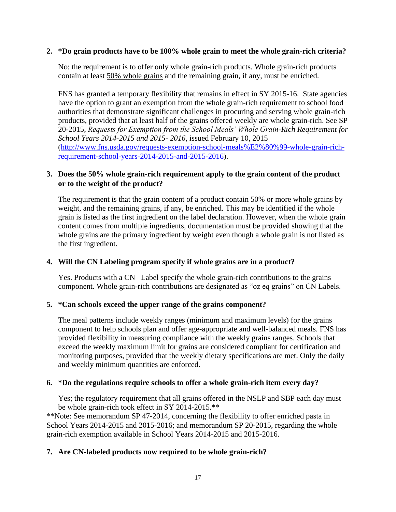## **2. \*Do grain products have to be 100% whole grain to meet the whole grain-rich criteria?**

No; the requirement is to offer only whole grain-rich products. Whole grain-rich products contain at least 50% whole grains and the remaining grain, if any, must be enriched.

FNS has granted a temporary flexibility that remains in effect in SY 2015-16. State agencies have the option to grant an exemption from the whole grain-rich requirement to school food authorities that demonstrate significant challenges in procuring and serving whole grain-rich products, provided that at least half of the grains offered weekly are whole grain-rich. See SP 20-2015, *Requests for Exemption from the School Meals' Whole Grain-Rich Requirement for School Years 2014-2015 and 2015- 2016*, issued February 10, 2015 [\(http://www.fns.usda.gov/requests-exemption-school-meals%E2%80%99-whole-grain-rich](http://www.fns.usda.gov/requests-exemption-school-meals%E2%80%99-whole-grain-rich-requirement-school-years-2014-2015-and-2015-2016)[requirement-school-years-2014-2015-and-2015-2016\)](http://www.fns.usda.gov/requests-exemption-school-meals%E2%80%99-whole-grain-rich-requirement-school-years-2014-2015-and-2015-2016).

# **3. Does the 50% whole grain-rich requirement apply to the grain content of the product or to the weight of the product?**

The requirement is that the grain content of a product contain 50% or more whole grains by weight, and the remaining grains, if any, be enriched. This may be identified if the whole grain is listed as the first ingredient on the label declaration. However, when the whole grain content comes from multiple ingredients, documentation must be provided showing that the whole grains are the primary ingredient by weight even though a whole grain is not listed as the first ingredient.

# **4. Will the CN Labeling program specify if whole grains are in a product?**

Yes. Products with a CN –Label specify the whole grain-rich contributions to the grains component. Whole grain-rich contributions are designated as "oz eq grains" on CN Labels.

### **5. \*Can schools exceed the upper range of the grains component?**

The meal patterns include weekly ranges (minimum and maximum levels) for the grains component to help schools plan and offer age-appropriate and well-balanced meals. FNS has provided flexibility in measuring compliance with the weekly grains ranges. Schools that exceed the weekly maximum limit for grains are considered compliant for certification and monitoring purposes, provided that the weekly dietary specifications are met. Only the daily and weekly minimum quantities are enforced.

# **6. \*Do the regulations require schools to offer a whole grain-rich item every day?**

Yes; the regulatory requirement that all grains offered in the NSLP and SBP each day must be whole grain-rich took effect in SY 2014-2015.\*\*

\*\*Note: See memorandum SP 47-2014, concerning the flexibility to offer enriched pasta in School Years 2014-2015 and 2015-2016; and memorandum SP 20-2015, regarding the whole grain-rich exemption available in School Years 2014-2015 and 2015-2016.

# **7. Are CN-labeled products now required to be whole grain-rich?**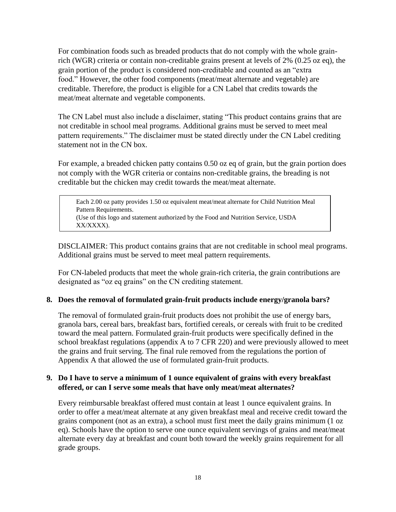For combination foods such as breaded products that do not comply with the whole grainrich (WGR) criteria or contain non-creditable grains present at levels of 2% (0.25 oz eq), the grain portion of the product is considered non-creditable and counted as an "extra food." However, the other food components (meat/meat alternate and vegetable) are creditable. Therefore, the product is eligible for a CN Label that credits towards the meat/meat alternate and vegetable components.

The CN Label must also include a disclaimer, stating "This product contains grains that are not creditable in school meal programs. Additional grains must be served to meet meal pattern requirements." The disclaimer must be stated directly under the CN Label crediting statement not in the CN box.

For example, a breaded chicken patty contains 0.50 oz eq of grain, but the grain portion does not comply with the WGR criteria or contains non-creditable grains, the breading is not creditable but the chicken may credit towards the meat/meat alternate.

Each 2.00 oz patty provides 1.50 oz equivalent meat/meat alternate for Child Nutrition Meal Pattern Requirements. (Use of this logo and statement authorized by the Food and Nutrition Service, USDA XX/XXXX).

DISCLAIMER: This product contains grains that are not creditable in school meal programs. Additional grains must be served to meet meal pattern requirements.

For CN-labeled products that meet the whole grain-rich criteria, the grain contributions are designated as "oz eq grains" on the CN crediting statement.

### **8. Does the removal of formulated grain-fruit products include energy/granola bars?**

The removal of formulated grain-fruit products does not prohibit the use of energy bars, granola bars, cereal bars, breakfast bars, fortified cereals, or cereals with fruit to be credited toward the meal pattern. Formulated grain-fruit products were specifically defined in the school breakfast regulations (appendix A to 7 CFR 220) and were previously allowed to meet the grains and fruit serving. The final rule removed from the regulations the portion of Appendix A that allowed the use of formulated grain-fruit products.

# **9. Do I have to serve a minimum of 1 ounce equivalent of grains with every breakfast offered, or can I serve some meals that have only meat/meat alternates?**

Every reimbursable breakfast offered must contain at least 1 ounce equivalent grains. In order to offer a meat/meat alternate at any given breakfast meal and receive credit toward the grains component (not as an extra), a school must first meet the daily grains minimum (1 oz eq). Schools have the option to serve one ounce equivalent servings of grains and meat/meat alternate every day at breakfast and count both toward the weekly grains requirement for all grade groups.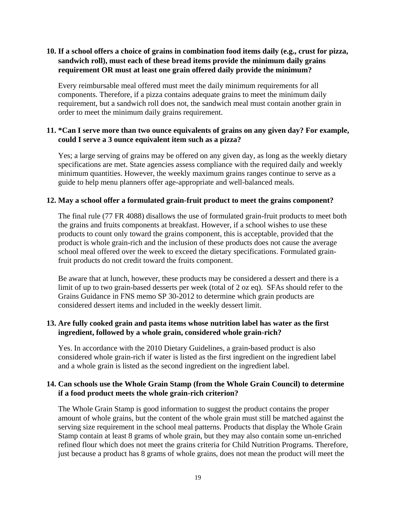# **10. If a school offers a choice of grains in combination food items daily (e.g., crust for pizza, sandwich roll), must each of these bread items provide the minimum daily grains requirement OR must at least one grain offered daily provide the minimum?**

Every reimbursable meal offered must meet the daily minimum requirements for all components. Therefore, if a pizza contains adequate grains to meet the minimum daily requirement, but a sandwich roll does not, the sandwich meal must contain another grain in order to meet the minimum daily grains requirement.

# **11. \*Can I serve more than two ounce equivalents of grains on any given day? For example, could I serve a 3 ounce equivalent item such as a pizza?**

Yes; a large serving of grains may be offered on any given day, as long as the weekly dietary specifications are met. State agencies assess compliance with the required daily and weekly minimum quantities. However, the weekly maximum grains ranges continue to serve as a guide to help menu planners offer age-appropriate and well-balanced meals.

### **12. May a school offer a formulated grain-fruit product to meet the grains component?**

The final rule (77 FR 4088) disallows the use of formulated grain-fruit products to meet both the grains and fruits components at breakfast. However, if a school wishes to use these products to count only toward the grains component, this is acceptable, provided that the product is whole grain-rich and the inclusion of these products does not cause the average school meal offered over the week to exceed the dietary specifications. Formulated grainfruit products do not credit toward the fruits component.

Be aware that at lunch, however, these products may be considered a dessert and there is a limit of up to two grain-based desserts per week (total of 2 oz eq). SFAs should refer to the Grains Guidance in FNS memo SP 30-2012 to determine which grain products are considered dessert items and included in the weekly dessert limit.

# **13. Are fully cooked grain and pasta items whose nutrition label has water as the first ingredient, followed by a whole grain, considered whole grain-rich?**

Yes. In accordance with the 2010 Dietary Guidelines, a grain-based product is also considered whole grain-rich if water is listed as the first ingredient on the ingredient label and a whole grain is listed as the second ingredient on the ingredient label.

# **14. Can schools use the Whole Grain Stamp (from the Whole Grain Council) to determine if a food product meets the whole grain-rich criterion?**

The Whole Grain Stamp is good information to suggest the product contains the proper amount of whole grains, but the content of the whole grain must still be matched against the serving size requirement in the school meal patterns. Products that display the Whole Grain Stamp contain at least 8 grams of whole grain, but they may also contain some un-enriched refined flour which does not meet the grains criteria for Child Nutrition Programs. Therefore, just because a product has 8 grams of whole grains, does not mean the product will meet the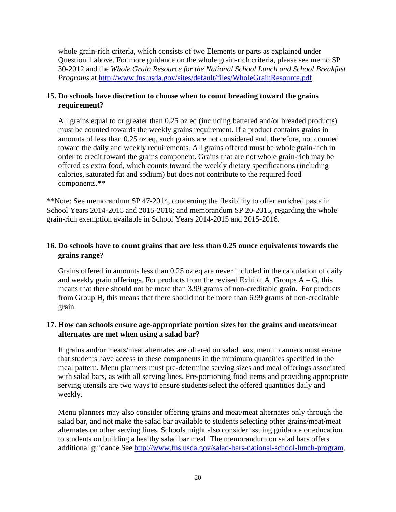whole grain-rich criteria, which consists of two Elements or parts as explained under Question 1 above. For more guidance on the whole grain-rich criteria, please see memo SP 30-2012 and the *Whole Grain Resource for the National School Lunch and School Breakfast Programs* at [http://www.fns.usda.gov/sites/default/files/WholeGrainResource.pdf.](http://www.fns.usda.gov/sites/default/files/WholeGrainResource.pdf)

# **15. Do schools have discretion to choose when to count breading toward the grains requirement?**

All grains equal to or greater than 0.25 oz eq (including battered and/or breaded products) must be counted towards the weekly grains requirement. If a product contains grains in amounts of less than 0.25 oz eq, such grains are not considered and, therefore, not counted toward the daily and weekly requirements. All grains offered must be whole grain-rich in order to credit toward the grains component. Grains that are not whole grain-rich may be offered as extra food, which counts toward the weekly dietary specifications (including calories, saturated fat and sodium) but does not contribute to the required food components.\*\*

\*\*Note: See memorandum SP 47-2014, concerning the flexibility to offer enriched pasta in School Years 2014-2015 and 2015-2016; and memorandum SP 20-2015, regarding the whole grain-rich exemption available in School Years 2014-2015 and 2015-2016.

# **16. Do schools have to count grains that are less than 0.25 ounce equivalents towards the grains range?**

Grains offered in amounts less than 0.25 oz eq are never included in the calculation of daily and weekly grain offerings. For products from the revised Exhibit A, Groups  $A - G$ , this means that there should not be more than 3.99 grams of non-creditable grain. For products from Group H, this means that there should not be more than 6.99 grams of non-creditable grain.

# **17. How can schools ensure age-appropriate portion sizes for the grains and meats/meat alternates are met when using a salad bar?**

If grains and/or meats/meat alternates are offered on salad bars, menu planners must ensure that students have access to these components in the minimum quantities specified in the meal pattern. Menu planners must pre-determine serving sizes and meal offerings associated with salad bars, as with all serving lines. Pre-portioning food items and providing appropriate serving utensils are two ways to ensure students select the offered quantities daily and weekly.

Menu planners may also consider offering grains and meat/meat alternates only through the salad bar, and not make the salad bar available to students selecting other grains/meat/meat alternates on other serving lines. Schools might also consider issuing guidance or education to students on building a healthy salad bar meal. The memorandum on salad bars offers additional guidance See [http://www.fns.usda.gov/salad-bars-national-school-lunch-program.](http://www.fns.usda.gov/salad-bars-national-school-lunch-program)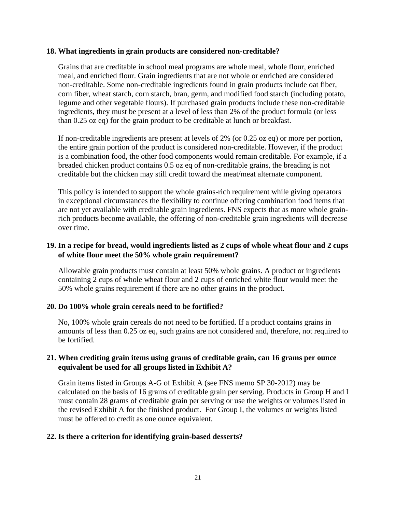#### **18. What ingredients in grain products are considered non-creditable?**

Grains that are creditable in school meal programs are whole meal, whole flour, enriched meal, and enriched flour. Grain ingredients that are not whole or enriched are considered non-creditable. Some non-creditable ingredients found in grain products include oat fiber, corn fiber, wheat starch, corn starch, bran, germ, and modified food starch (including potato, legume and other vegetable flours). If purchased grain products include these non-creditable ingredients, they must be present at a level of less than 2% of the product formula (or less than 0.25 oz eq) for the grain product to be creditable at lunch or breakfast.

If non-creditable ingredients are present at levels of 2% (or 0.25 oz eq) or more per portion, the entire grain portion of the product is considered non-creditable. However, if the product is a combination food, the other food components would remain creditable. For example, if a breaded chicken product contains 0.5 oz eq of non-creditable grains, the breading is not creditable but the chicken may still credit toward the meat/meat alternate component.

This policy is intended to support the whole grains-rich requirement while giving operators in exceptional circumstances the flexibility to continue offering combination food items that are not yet available with creditable grain ingredients. FNS expects that as more whole grainrich products become available, the offering of non-creditable grain ingredients will decrease over time.

### **19. In a recipe for bread, would ingredients listed as 2 cups of whole wheat flour and 2 cups of white flour meet the 50% whole grain requirement?**

Allowable grain products must contain at least 50% whole grains. A product or ingredients containing 2 cups of whole wheat flour and 2 cups of enriched white flour would meet the 50% whole grains requirement if there are no other grains in the product.

### **20. Do 100% whole grain cereals need to be fortified?**

No, 100% whole grain cereals do not need to be fortified. If a product contains grains in amounts of less than 0.25 oz eq, such grains are not considered and, therefore, not required to be fortified.

# **21. When crediting grain items using grams of creditable grain, can 16 grams per ounce equivalent be used for all groups listed in Exhibit A?**

Grain items listed in Groups A-G of Exhibit A (see FNS memo SP 30-2012) may be calculated on the basis of 16 grams of creditable grain per serving. Products in Group H and I must contain 28 grams of creditable grain per serving or use the weights or volumes listed in the revised Exhibit A for the finished product. For Group I, the volumes or weights listed must be offered to credit as one ounce equivalent.

### **22. Is there a criterion for identifying grain-based desserts?**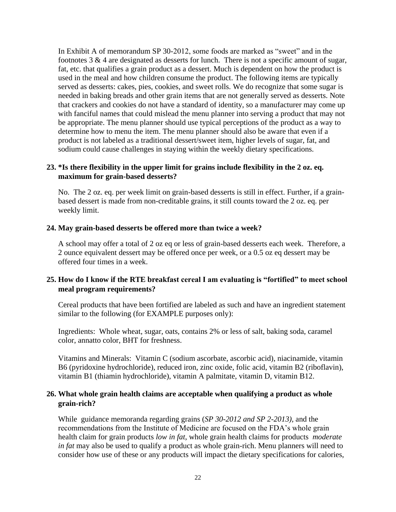In Exhibit A of memorandum SP 30-2012, some foods are marked as "sweet" and in the footnotes  $3 \& 4$  are designated as desserts for lunch. There is not a specific amount of sugar, fat, etc. that qualifies a grain product as a dessert. Much is dependent on how the product is used in the meal and how children consume the product. The following items are typically served as desserts: cakes, pies, cookies, and sweet rolls. We do recognize that some sugar is needed in baking breads and other grain items that are not generally served as desserts. Note that crackers and cookies do not have a standard of identity, so a manufacturer may come up with fanciful names that could mislead the menu planner into serving a product that may not be appropriate. The menu planner should use typical perceptions of the product as a way to determine how to menu the item. The menu planner should also be aware that even if a product is not labeled as a traditional dessert/sweet item, higher levels of sugar, fat, and sodium could cause challenges in staying within the weekly dietary specifications.

# **23. \*Is there flexibility in the upper limit for grains include flexibility in the 2 oz. eq. maximum for grain-based desserts?**

No. The 2 oz. eq. per week limit on grain-based desserts is still in effect. Further, if a grainbased dessert is made from non-creditable grains, it still counts toward the 2 oz. eq. per weekly limit.

### **24. May grain-based desserts be offered more than twice a week?**

A school may offer a total of 2 oz eq or less of grain-based desserts each week. Therefore, a 2 ounce equivalent dessert may be offered once per week, or a 0.5 oz eq dessert may be offered four times in a week.

# **25. How do I know if the RTE breakfast cereal I am evaluating is "fortified" to meet school meal program requirements?**

Cereal products that have been fortified are labeled as such and have an ingredient statement similar to the following (for EXAMPLE purposes only):

Ingredients:Whole wheat, sugar, oats, contains 2% or less of salt, baking soda, caramel color, annatto color, BHT for freshness.

Vitamins and Minerals: Vitamin C (sodium ascorbate, ascorbic acid), niacinamide, vitamin B6 (pyridoxine hydrochloride), reduced iron, zinc oxide, folic acid, vitamin B2 (riboflavin), vitamin B1 (thiamin hydrochloride), vitamin A palmitate, vitamin D, vitamin B12.

### **26. What whole grain health claims are acceptable when qualifying a product as whole grain-rich?**

While guidance memoranda regarding grains (*SP 30-2012 and SP 2-2013),* and the recommendations from the Institute of Medicine are focused on the FDA's whole grain health claim for grain products *low in fat*, whole grain health claims for products *moderate in fat* may also be used to qualify a product as whole grain-rich. Menu planners will need to consider how use of these or any products will impact the dietary specifications for calories,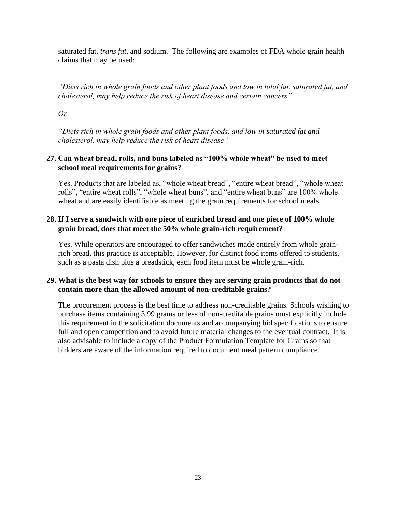saturated fat, *trans fat*, and sodium. The following are examples of FDA whole grain health claims that may be used:

*"Diets rich in whole grain foods and other plant foods and low in total fat, saturated fat, and cholesterol, may help reduce the risk of heart disease and certain cancers"*

*Or*

*"Diets rich in whole grain foods and other plant foods, and low in saturated fat and cholesterol, may help reduce the risk of heart disease"*

# **27. Can wheat bread, rolls, and buns labeled as "100% whole wheat" be used to meet school meal requirements for grains?**

Yes. Products that are labeled as, "whole wheat bread", "entire wheat bread", "whole wheat rolls", "entire wheat rolls", "whole wheat buns", and "entire wheat buns" are 100% whole wheat and are easily identifiable as meeting the grain requirements for school meals.

# **28. If I serve a sandwich with one piece of enriched bread and one piece of 100% whole grain bread, does that meet the 50% whole grain-rich requirement?**

Yes. While operators are encouraged to offer sandwiches made entirely from whole grainrich bread, this practice is acceptable. However, for distinct food items offered to students, such as a pasta dish plus a breadstick, each food item must be whole grain-rich.

# **29. What is the best way for schools to ensure they are serving grain products that do not contain more than the allowed amount of non-creditable grains?**

The procurement process is the best time to address non-creditable grains. Schools wishing to purchase items containing 3.99 grams or less of non-creditable grains must explicitly include this requirement in the solicitation documents and accompanying bid specifications to ensure full and open competition and to avoid future material changes to the eventual contract. It is also advisable to include a copy of the [Product Formulation](http://www.fns.usda.gov/sites/default/files/PFSsamplegrains.pdf) Template for Grains so that bidders are aware of the information required to document meal pattern compliance.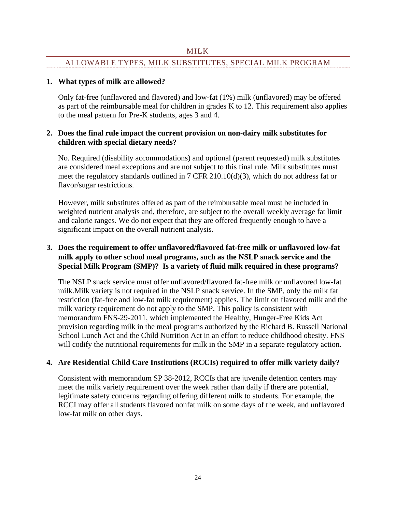#### MILK

# <span id="page-24-0"></span>ALLOWABLE TYPES, MILK SUBSTITUTES, SPECIAL MILK PROGRAM

### **1. What types of milk are allowed?**

Only fat-free (unflavored and flavored) and low-fat (1%) milk (unflavored) may be offered as part of the reimbursable meal for children in grades K to 12. This requirement also applies to the meal pattern for Pre-K students, ages 3 and 4.

# **2. Does the final rule impact the current provision on non-dairy milk substitutes for children with special dietary needs?**

No. Required (disability accommodations) and optional (parent requested) milk substitutes are considered meal exceptions and are not subject to this final rule. Milk substitutes must meet the regulatory standards outlined in 7 CFR 210.10(d)(3), which do not address fat or flavor/sugar restrictions.

However, milk substitutes offered as part of the reimbursable meal must be included in weighted nutrient analysis and, therefore, are subject to the overall weekly average fat limit and calorie ranges. We do not expect that they are offered frequently enough to have a significant impact on the overall nutrient analysis.

# **3. Does the requirement to offer unflavored/flavored fat-free milk or unflavored low-fat milk apply to other school meal programs, such as the NSLP snack service and the Special Milk Program (SMP)? Is a variety of fluid milk required in these programs?**

The NSLP snack service must offer unflavored/flavored fat-free milk or unflavored low-fat milk.Milk variety is not required in the NSLP snack service. In the SMP, only the milk fat restriction (fat-free and low-fat milk requirement) applies. The limit on flavored milk and the milk variety requirement do not apply to the SMP. This policy is consistent with memorandum FNS-29-2011, which implemented the Healthy, Hunger-Free Kids Act provision regarding milk in the meal programs authorized by the Richard B. Russell National School Lunch Act and the Child Nutrition Act in an effort to reduce childhood obesity. FNS will codify the nutritional requirements for milk in the SMP in a separate regulatory action.

# **4. Are Residential Child Care Institutions (RCCIs) required to offer milk variety daily?**

Consistent with memorandum SP 38-2012, RCCIs that are juvenile detention centers may meet the milk variety requirement over the week rather than daily if there are potential, legitimate safety concerns regarding offering different milk to students. For example, the RCCI may offer all students flavored nonfat milk on some days of the week, and unflavored low-fat milk on other days.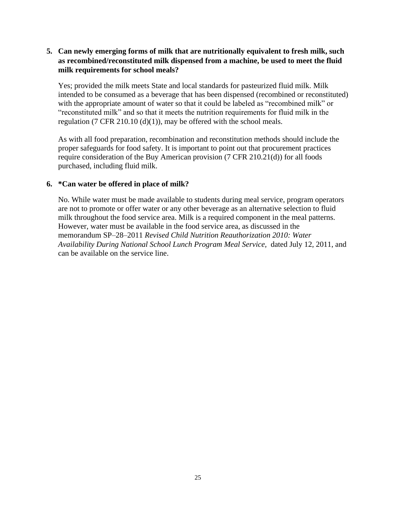# **5. Can newly emerging forms of milk that are nutritionally equivalent to fresh milk, such as recombined/reconstituted milk dispensed from a machine, be used to meet the fluid milk requirements for school meals?**

Yes; provided the milk meets State and local standards for pasteurized fluid milk. Milk intended to be consumed as a beverage that has been dispensed (recombined or reconstituted) with the appropriate amount of water so that it could be labeled as "recombined milk" or "reconstituted milk" and so that it meets the nutrition requirements for fluid milk in the regulation (7 CFR 210.10 (d)(1)), may be offered with the school meals.

As with all food preparation, recombination and reconstitution methods should include the proper safeguards for food safety. It is important to point out that procurement practices require consideration of the Buy American provision (7 CFR 210.21(d)) for all foods purchased, including fluid milk.

# **6. \*Can water be offered in place of milk?**

No. While water must be made available to students during meal service, program operators are not to promote or offer water or any other beverage as an alternative selection to fluid milk throughout the food service area. Milk is a required component in the meal patterns. However, water must be available in the food service area, as discussed in the memorandum SP–28–2011 *Revised Child Nutrition Reauthorization 2010: Water Availability During National School Lunch Program Meal Service,* dated July 12, 2011, and can be available on the service line.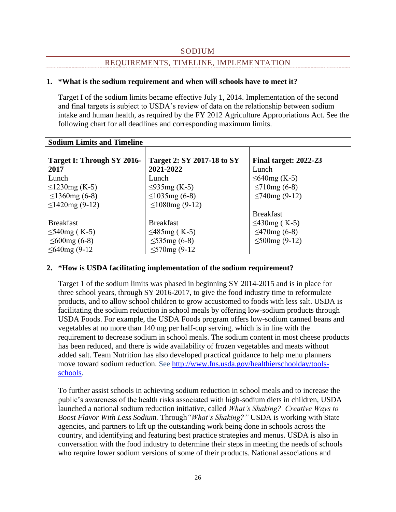### SODIUM

# REQUIREMENTS, TIMELINE, IMPLEMENTATION

### <span id="page-26-0"></span>**1. \*What is the sodium requirement and when will schools have to meet it?**

Target I of the sodium limits became effective July 1, 2014. Implementation of the second and final targets is subject to USDA's review of data on the relationship between sodium intake and human health, as required by the FY 2012 Agriculture Appropriations Act. See the following chart for all deadlines and corresponding maximum limits.

| <b>Sodium Limits and Timeline</b> |                                   |                                 |  |  |  |
|-----------------------------------|-----------------------------------|---------------------------------|--|--|--|
| Target I: Through SY 2016-        | <b>Target 2: SY 2017-18 to SY</b> | <b>Final target: 2022-23</b>    |  |  |  |
| 2017<br>Lunch                     | 2021-2022<br>Lunch                | Lunch                           |  |  |  |
| $≤1230mg$ (K-5)                   | $\leq$ 935mg (K-5)                | $≤640mg$ (K-5)<br>$≤710mg(6-8)$ |  |  |  |
| $\leq$ 1360mg (6-8)               | $≤1035mg(6-8)$                    | $≤740mg(9-12)$                  |  |  |  |
| $\leq$ 1420mg (9-12)              | $\leq$ 1080mg (9-12)              |                                 |  |  |  |
|                                   |                                   | <b>Breakfast</b>                |  |  |  |
| <b>Breakfast</b>                  | <b>Breakfast</b>                  | ≤430mg (K-5)                    |  |  |  |
| ≤540mg (K-5)                      | ≤485mg (K-5)                      | $≤470mg(6-8)$                   |  |  |  |
| $\leq 600$ mg (6-8)               | $≤535mg(6-8)$                     | $\leq$ 500mg (9-12)             |  |  |  |
| $≤640mg(9-12)$                    | $≤570mg(9-12)$                    |                                 |  |  |  |

### **2. \*How is USDA facilitating implementation of the sodium requirement?**

Target 1 of the sodium limits was phased in beginning SY 2014-2015 and is in place for three school years, through SY 2016-2017, to give the food industry time to reformulate products, and to allow school children to grow accustomed to foods with less salt. USDA is facilitating the sodium reduction in school meals by offering low-sodium products through USDA Foods. For example, the USDA Foods program offers low-sodium canned beans and vegetables at no more than 140 mg per half-cup serving, which is in line with the requirement to decrease sodium in school meals. The sodium content in most cheese products has been reduced, and there is wide availability of frozen vegetables and meats without added salt. Team Nutrition has also developed practical guidance to help menu planners move toward sodium reduction. See [http://www.fns.usda.gov/healthierschoolday/tools](http://www.fns.usda.gov/healthierschoolday/tools-schools)[schools.](http://www.fns.usda.gov/healthierschoolday/tools-schools)

To further assist schools in achieving sodium reduction in school meals and to increase the public's awareness of the health risks associated with high-sodium diets in children, USDA launched a national sodium reduction initiative, called *What's Shaking? Creative Ways to Boost Flavor With Less Sodium.* Through*"What's Shaking?"* USDA is working with State agencies, and partners to lift up the outstanding work being done in schools across the country, and identifying and featuring best practice strategies and menus. USDA is also in conversation with the food industry to determine their steps in meeting the needs of schools who require lower sodium versions of some of their products. National associations and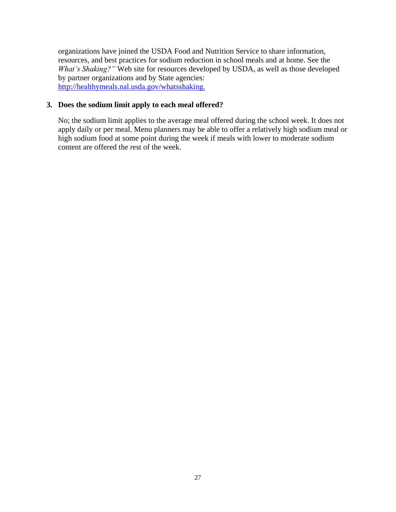organizations have joined the USDA Food and Nutrition Service to share information, resources, and best practices for sodium reduction in school meals and at home. See the *What's Shaking?"* Web site for resources developed by USDA, as well as those developed by partner organizations and by State agencies: [http://healthymeals.nal.usda.gov/whatsshaking.](http://healthymeals.nal.usda.gov/whatsshaking)

### **3. Does the sodium limit apply to each meal offered?**

No; the sodium limit applies to the average meal offered during the school week. It does not apply daily or per meal. Menu planners may be able to offer a relatively high sodium meal or high sodium food at some point during the week if meals with lower to moderate sodium content are offered the rest of the week.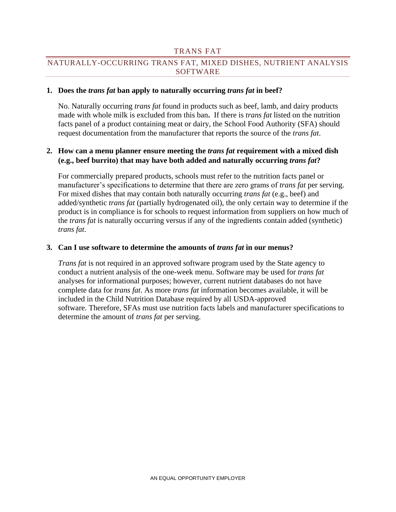#### TRANS FAT

# <span id="page-28-0"></span>NATURALLY-OCCURRING TRANS FAT, MIXED DISHES, NUTRIENT ANALYSIS SOFTWARE

#### **1. Does the** *trans fat* **ban apply to naturally occurring** *trans fat* **in beef?**

No. Naturally occurring *trans fat* found in products such as beef, lamb, and dairy products made with whole milk is excluded from this ban**.** If there is *trans fat* listed on the nutrition facts panel of a product containing meat or dairy, the School Food Authority (SFA) should request documentation from the manufacturer that reports the source of the *trans fat*.

### **2. How can a menu planner ensure meeting the** *trans fat* **requirement with a mixed dish (e.g., beef burrito) that may have both added and naturally occurring** *trans fat***?**

For commercially prepared products, schools must refer to the nutrition facts panel or manufacturer's specifications to determine that there are zero grams of *trans fat* per serving. For mixed dishes that may contain both naturally occurring *trans fat* (e.g., beef) and added/synthetic *trans fat* (partially hydrogenated oil), the only certain way to determine if the product is in compliance is for schools to request information from suppliers on how much of the *trans fat* is naturally occurring versus if any of the ingredients contain added (synthetic) *trans fat*.

#### **3. Can I use software to determine the amounts of** *trans fat* **in our menus?**

*Trans fat* is not required in an approved software program used by the State agency to conduct a nutrient analysis of the one-week menu. Software may be used for *trans fat* analyses for informational purposes; however, current nutrient databases do not have complete data for *trans fat*. As more *trans fat* information becomes available, it will be included in the Child Nutrition Database required by all USDA-approved software. Therefore, SFAs must use nutrition facts labels and manufacturer specifications to determine the amount of *trans fat* per serving.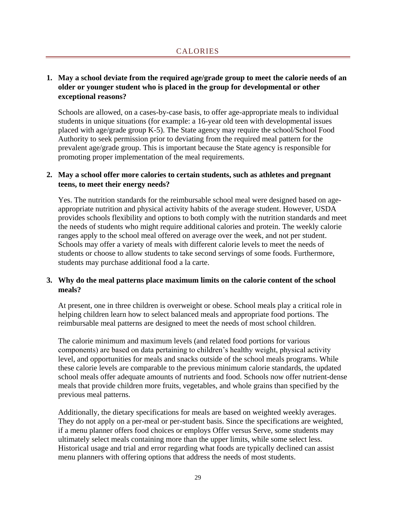# <span id="page-29-0"></span>**1. May a school deviate from the required age/grade group to meet the calorie needs of an older or younger student who is placed in the group for developmental or other exceptional reasons?**

Schools are allowed, on a cases-by-case basis, to offer age-appropriate meals to individual students in unique situations (for example: a 16-year old teen with developmental issues placed with age/grade group K-5). The State agency may require the school/School Food Authority to seek permission prior to deviating from the required meal pattern for the prevalent age/grade group. This is important because the State agency is responsible for promoting proper implementation of the meal requirements.

# **2. May a school offer more calories to certain students, such as athletes and pregnant teens, to meet their energy needs?**

Yes. The nutrition standards for the reimbursable school meal were designed based on ageappropriate nutrition and physical activity habits of the average student. However, USDA provides schools flexibility and options to both comply with the nutrition standards and meet the needs of students who might require additional calories and protein. The weekly calorie ranges apply to the school meal offered on average over the week, and not per student. Schools may offer a variety of meals with different calorie levels to meet the needs of students or choose to allow students to take second servings of some foods. Furthermore, students may purchase additional food a la carte.

# **3. Why do the meal patterns place maximum limits on the calorie content of the school meals?**

At present, one in three children is overweight or obese. School meals play a critical role in helping children learn how to select balanced meals and appropriate food portions. The reimbursable meal patterns are designed to meet the needs of most school children.

The calorie minimum and maximum levels (and related food portions for various components) are based on data pertaining to children's healthy weight, physical activity level, and opportunities for meals and snacks outside of the school meals programs. While these calorie levels are comparable to the previous minimum calorie standards, the updated school meals offer adequate amounts of nutrients and food. Schools now offer nutrient-dense meals that provide children more fruits, vegetables, and whole grains than specified by the previous meal patterns.

Additionally, the dietary specifications for meals are based on weighted weekly averages. They do not apply on a per-meal or per-student basis. Since the specifications are weighted, if a menu planner offers food choices or employs Offer versus Serve, some students may ultimately select meals containing more than the upper limits, while some select less. Historical usage and trial and error regarding what foods are typically declined can assist menu planners with offering options that address the needs of most students.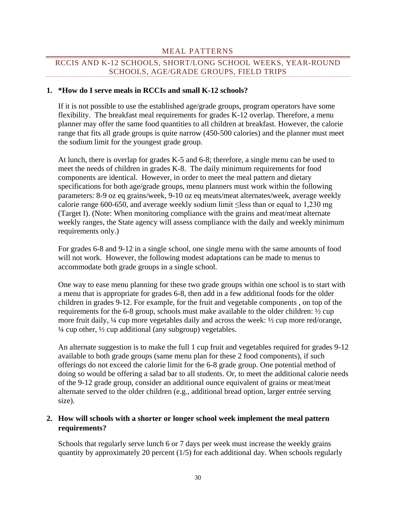## MEAL PATTERNS

# <span id="page-30-0"></span>RCCIS AND K-12 SCHOOLS, SHORT/LONG SCHOOL WEEKS, YEAR-ROUND SCHOOLS, AGE/GRADE GROUPS, FIELD TRIPS

#### **1. \*How do I serve meals in RCCIs and small K-12 schools?**

If it is not possible to use the established age/grade groups, program operators have some flexibility. The breakfast meal requirements for grades K-12 overlap. Therefore, a menu planner may offer the same food quantities to all children at breakfast. However, the calorie range that fits all grade groups is quite narrow (450-500 calories) and the planner must meet the sodium limit for the youngest grade group.

At lunch, there is overlap for grades K-5 and 6-8; therefore, a single menu can be used to meet the needs of children in grades K-8. The daily minimum requirements for food components are identical. However, in order to meet the meal pattern and dietary specifications for both age/grade groups, menu planners must work within the following parameters: 8-9 oz eq grains/week, 9-10 oz eq meats/meat alternates/week, average weekly calorie range 600-650, and average weekly sodium limit  $\le$ less than or equal to 1,230 mg (Target I). (Note: When monitoring compliance with the grains and meat/meat alternate weekly ranges, the State agency will assess compliance with the daily and weekly minimum requirements only.)

For grades 6-8 and 9-12 in a single school, one single menu with the same amounts of food will not work. However, the following modest adaptations can be made to menus to accommodate both grade groups in a single school.

One way to ease menu planning for these two grade groups within one school is to start with a menu that is appropriate for grades 6-8, then add in a few additional foods for the older children in grades 9-12. For example, for the fruit and vegetable components , on top of the requirements for the 6-8 group, schools must make available to the older children: ½ cup more fruit daily, ¼ cup more vegetables daily and across the week: ½ cup more red/orange,  $\frac{1}{4}$  cup other,  $\frac{1}{2}$  cup additional (any subgroup) vegetables.

An alternate suggestion is to make the full 1 cup fruit and vegetables required for grades 9-12 available to both grade groups (same menu plan for these 2 food components), if such offerings do not exceed the calorie limit for the 6-8 grade group. One potential method of doing so would be offering a salad bar to all students. Or, to meet the additional calorie needs of the 9-12 grade group, consider an additional ounce equivalent of grains or meat/meat alternate served to the older children (e.g., additional bread option, larger entrée serving size).

### **2. How will schools with a shorter or longer school week implement the meal pattern requirements?**

Schools that regularly serve lunch 6 or 7 days per week must increase the weekly grains quantity by approximately 20 percent (1/5) for each additional day. When schools regularly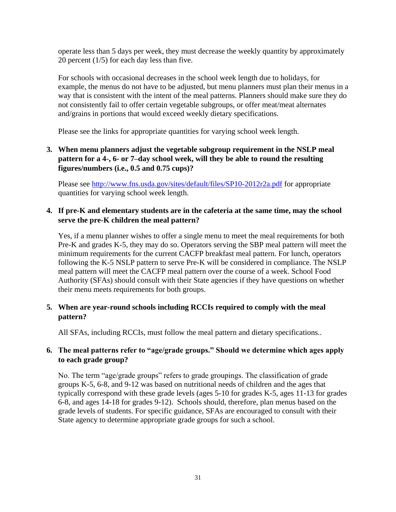operate less than 5 days per week, they must decrease the weekly quantity by approximately 20 percent (1/5) for each day less than five.

For schools with occasional decreases in the school week length due to holidays, for example, the menus do not have to be adjusted, but menu planners must plan their menus in a way that is consistent with the intent of the meal patterns. Planners should make sure they do not consistently fail to offer certain vegetable subgroups, or offer meat/meat alternates and/grains in portions that would exceed weekly dietary specifications.

Please see the links for appropriate quantities for varying school week length.

# **3. When menu planners adjust the vegetable subgroup requirement in the NSLP meal pattern for a 4-, 6- or 7–day school week, will they be able to round the resulting figures/numbers (i.e., 0.5 and 0.75 cups)?**

Please see<http://www.fns.usda.gov/sites/default/files/SP10-2012r2a.pdf> for appropriate quantities for varying school week length.

# **4. If pre-K and elementary students are in the cafeteria at the same time, may the school serve the pre-K children the meal pattern?**

Yes, if a menu planner wishes to offer a single menu to meet the meal requirements for both Pre-K and grades K-5, they may do so. Operators serving the SBP meal pattern will meet the minimum requirements for the current CACFP breakfast meal pattern. For lunch, operators following the K-5 NSLP pattern to serve Pre-K will be considered in compliance. The NSLP meal pattern will meet the CACFP meal pattern over the course of a week. School Food Authority (SFAs) should consult with their State agencies if they have questions on whether their menu meets requirements for both groups.

# **5. When are year-round schools including RCCIs required to comply with the meal pattern?**

All SFAs, including RCCIs, must follow the meal pattern and dietary specifications..

# **6. The meal patterns refer to "age/grade groups." Should we determine which ages apply to each grade group?**

No. The term "age/grade groups" refers to grade groupings. The classification of grade groups K-5, 6-8, and 9-12 was based on nutritional needs of children and the ages that typically correspond with these grade levels (ages 5-10 for grades K-5, ages 11-13 for grades 6-8, and ages 14-18 for grades 9-12). Schools should, therefore, plan menus based on the grade levels of students. For specific guidance, SFAs are encouraged to consult with their State agency to determine appropriate grade groups for such a school.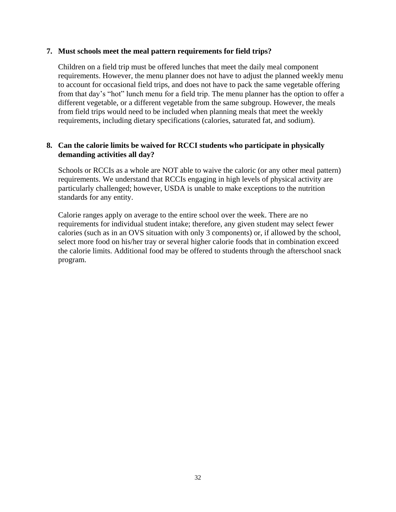### **7. Must schools meet the meal pattern requirements for field trips?**

Children on a field trip must be offered lunches that meet the daily meal component requirements. However, the menu planner does not have to adjust the planned weekly menu to account for occasional field trips, and does not have to pack the same vegetable offering from that day's "hot" lunch menu for a field trip. The menu planner has the option to offer a different vegetable, or a different vegetable from the same subgroup. However, the meals from field trips would need to be included when planning meals that meet the weekly requirements, including dietary specifications (calories, saturated fat, and sodium).

# **8. Can the calorie limits be waived for RCCI students who participate in physically demanding activities all day?**

Schools or RCCIs as a whole are NOT able to waive the caloric (or any other meal pattern) requirements. We understand that RCCIs engaging in high levels of physical activity are particularly challenged; however, USDA is unable to make exceptions to the nutrition standards for any entity.

Calorie ranges apply on average to the entire school over the week. There are no requirements for individual student intake; therefore, any given student may select fewer calories (such as in an OVS situation with only 3 components) or, if allowed by the school, select more food on his/her tray or several higher calorie foods that in combination exceed the calorie limits. Additional food may be offered to students through the afterschool snack program.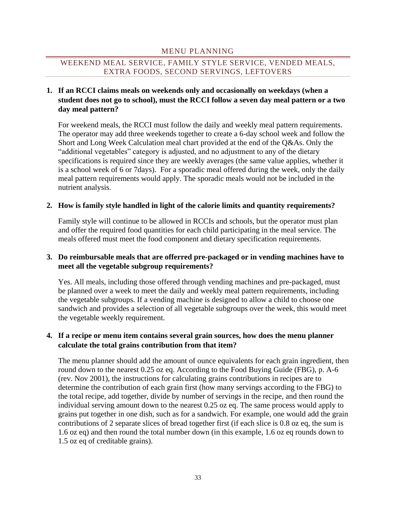## MENU PLANNING

# <span id="page-33-0"></span>WEEKEND MEAL SERVICE, FAMILY STYLE SERVICE, VENDED MEALS, EXTRA FOODS, SECOND SERVINGS, LEFTOVERS

# **1. If an RCCI claims meals on weekends only and occasionally on weekdays (when a student does not go to school), must the RCCI follow a seven day meal pattern or a two day meal pattern?**

For weekend meals, the RCCI must follow the daily and weekly meal pattern requirements. The operator may add three weekends together to create a 6-day school week and follow the Short and Long Week Calculation meal chart provided at the end of the Q&As. Only the "additional vegetables" category is adjusted, and no adjustment to any of the dietary specifications is required since they are weekly averages (the same value applies, whether it is a school week of 6 or 7days). For a sporadic meal offered during the week, only the daily meal pattern requirements would apply. The sporadic meals would not be included in the nutrient analysis.

### **2. How is family style handled in light of the calorie limits and quantity requirements?**

Family style will continue to be allowed in RCCIs and schools, but the operator must plan and offer the required food quantities for each child participating in the meal service. The meals offered must meet the food component and dietary specification requirements.

# **3. Do reimbursable meals that are offerred pre-packaged or in vending machines have to meet all the vegetable subgroup requirements?**

Yes. All meals, including those offered through vending machines and pre-packaged, must be planned over a week to meet the daily and weekly meal pattern requirements, including the vegetable subgroups. If a vending machine is designed to allow a child to choose one sandwich and provides a selection of all vegetable subgroups over the week, this would meet the vegetable weekly requirement.

# **4. If a recipe or menu item contains several grain sources, how does the menu planner calculate the total grains contribution from that item?**

The menu planner should add the amount of ounce equivalents for each grain ingredient, then round down to the nearest 0.25 oz eq. According to the Food Buying Guide (FBG), p. A-6 (rev. Nov 2001), the instructions for calculating grains contributions in recipes are to determine the contribution of each grain first (how many servings according to the FBG) to the total recipe, add together, divide by number of servings in the recipe, and then round the individual serving amount down to the nearest 0.25 oz eq. The same process would apply to grains put together in one dish, such as for a sandwich. For example, one would add the grain contributions of 2 separate slices of bread together first (if each slice is 0.8 oz eq, the sum is 1.6 oz eq) and then round the total number down (in this example, 1.6 oz eq rounds down to 1.5 oz eq of creditable grains).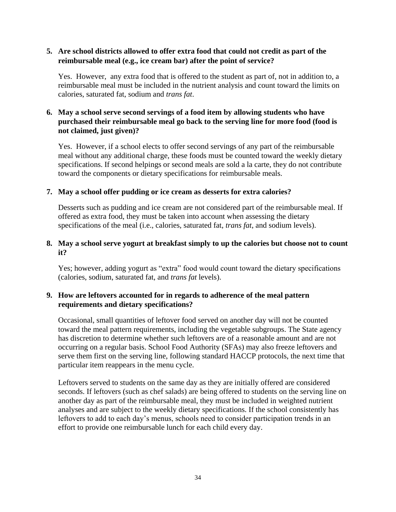# **5. Are school districts allowed to offer extra food that could not credit as part of the reimbursable meal (e.g., ice cream bar) after the point of service?**

Yes. However, any extra food that is offered to the student as part of, not in addition to, a reimbursable meal must be included in the nutrient analysis and count toward the limits on calories, saturated fat, sodium and *trans fat*.

# **6. May a school serve second servings of a food item by allowing students who have purchased their reimbursable meal go back to the serving line for more food (food is not claimed, just given)?**

Yes. However, if a school elects to offer second servings of any part of the reimbursable meal without any additional charge, these foods must be counted toward the weekly dietary specifications. If second helpings or second meals are sold a la carte, they do not contribute toward the components or dietary specifications for reimbursable meals.

# **7. May a school offer pudding or ice cream as desserts for extra calories?**

Desserts such as pudding and ice cream are not considered part of the reimbursable meal. If offered as extra food, they must be taken into account when assessing the dietary specifications of the meal (i.e., calories, saturated fat, *trans fat*, and sodium levels).

# **8. May a school serve yogurt at breakfast simply to up the calories but choose not to count it?**

Yes; however, adding yogurt as "extra" food would count toward the dietary specifications (calories, sodium, saturated fat, and *trans fat* levels).

# **9. How are leftovers accounted for in regards to adherence of the meal pattern requirements and dietary specifications?**

Occasional, small quantities of leftover food served on another day will not be counted toward the meal pattern requirements, including the vegetable subgroups. The State agency has discretion to determine whether such leftovers are of a reasonable amount and are not occurring on a regular basis. School Food Authority (SFAs) may also freeze leftovers and serve them first on the serving line, following standard HACCP protocols, the next time that particular item reappears in the menu cycle.

Leftovers served to students on the same day as they are initially offered are considered seconds. If leftovers (such as chef salads) are being offered to students on the serving line on another day as part of the reimbursable meal, they must be included in weighted nutrient analyses and are subject to the weekly dietary specifications. If the school consistently has leftovers to add to each day's menus, schools need to consider participation trends in an effort to provide one reimbursable lunch for each child every day.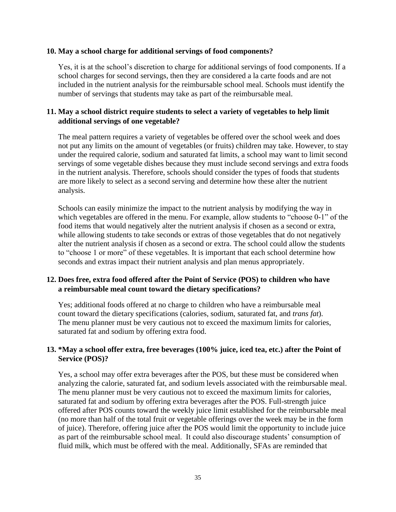#### **10. May a school charge for additional servings of food components?**

Yes, it is at the school's discretion to charge for additional servings of food components. If a school charges for second servings, then they are considered a la carte foods and are not included in the nutrient analysis for the reimbursable school meal. Schools must identify the number of servings that students may take as part of the reimbursable meal.

# **11. May a school district require students to select a variety of vegetables to help limit additional servings of one vegetable?**

The meal pattern requires a variety of vegetables be offered over the school week and does not put any limits on the amount of vegetables (or fruits) children may take. However, to stay under the required calorie, sodium and saturated fat limits, a school may want to limit second servings of some vegetable dishes because they must include second servings and extra foods in the nutrient analysis. Therefore, schools should consider the types of foods that students are more likely to select as a second serving and determine how these alter the nutrient analysis.

Schools can easily minimize the impact to the nutrient analysis by modifying the way in which vegetables are offered in the menu. For example, allow students to "choose 0-1" of the food items that would negatively alter the nutrient analysis if chosen as a second or extra, while allowing students to take seconds or extras of those vegetables that do not negatively alter the nutrient analysis if chosen as a second or extra. The school could allow the students to "choose 1 or more" of these vegetables. It is important that each school determine how seconds and extras impact their nutrient analysis and plan menus appropriately.

# **12. Does free, extra food offered after the Point of Service (POS) to children who have a reimbursable meal count toward the dietary specifications?**

Yes; additional foods offered at no charge to children who have a reimbursable meal count toward the dietary specifications (calories, sodium, saturated fat, and *trans fat*). The menu planner must be very cautious not to exceed the maximum limits for calories, saturated fat and sodium by offering extra food.

# **13. \*May a school offer extra, free beverages (100% juice, iced tea, etc.) after the Point of Service (POS)?**

Yes, a school may offer extra beverages after the POS, but these must be considered when analyzing the calorie, saturated fat, and sodium levels associated with the reimbursable meal. The menu planner must be very cautious not to exceed the maximum limits for calories, saturated fat and sodium by offering extra beverages after the POS. Full-strength juice offered after POS counts toward the weekly juice limit established for the reimbursable meal (no more than half of the total fruit or vegetable offerings over the week may be in the form of juice). Therefore, offering juice after the POS would limit the opportunity to include juice as part of the reimbursable school meal. It could also discourage students' consumption of fluid milk, which must be offered with the meal. Additionally, SFAs are reminded that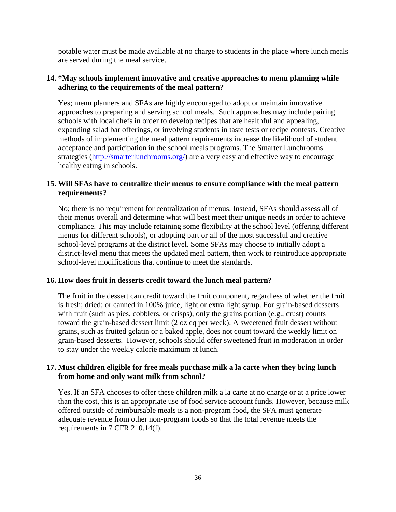potable water must be made available at no charge to students in the place where lunch meals are served during the meal service.

# **14. \*May schools implement innovative and creative approaches to menu planning while adhering to the requirements of the meal pattern?**

Yes; menu planners and SFAs are highly encouraged to adopt or maintain innovative approaches to preparing and serving school meals. Such approaches may include pairing schools with local chefs in order to develop recipes that are healthful and appealing, expanding salad bar offerings, or involving students in taste tests or recipe contests. Creative methods of implementing the meal pattern requirements increase the likelihood of student acceptance and participation in the school meals programs. The Smarter Lunchrooms strategies [\(http://smarterlunchrooms.org/\)](http://smarterlunchrooms.org/) are a very easy and effective way to encourage healthy eating in schools.

# **15. Will SFAs have to centralize their menus to ensure compliance with the meal pattern requirements?**

No; there is no requirement for centralization of menus. Instead, SFAs should assess all of their menus overall and determine what will best meet their unique needs in order to achieve compliance. This may include retaining some flexibility at the school level (offering different menus for different schools), or adopting part or all of the most successful and creative school-level programs at the district level. Some SFAs may choose to initially adopt a district-level menu that meets the updated meal pattern, then work to reintroduce appropriate school-level modifications that continue to meet the standards.

# **16. How does fruit in desserts credit toward the lunch meal pattern?**

The fruit in the dessert can credit toward the fruit component, regardless of whether the fruit is fresh; dried; or canned in 100% juice, light or extra light syrup. For grain-based desserts with fruit (such as pies, cobblers, or crisps), only the grains portion (e.g., crust) counts toward the grain-based dessert limit (2 oz eq per week). A sweetened fruit dessert without grains, such as fruited gelatin or a baked apple, does not count toward the weekly limit on grain-based desserts. However, schools should offer sweetened fruit in moderation in order to stay under the weekly calorie maximum at lunch.

# **17. Must children eligible for free meals purchase milk a la carte when they bring lunch from home and only want milk from school?**

Yes. If an SFA chooses to offer these children milk a la carte at no charge or at a price lower than the cost, this is an appropriate use of food service account funds. However, because milk offered outside of reimbursable meals is a non-program food, the SFA must generate adequate revenue from other non-program foods so that the total revenue meets the requirements in 7 CFR 210.14(f).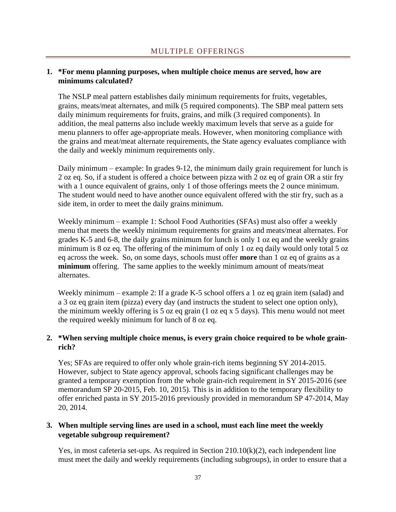# <span id="page-37-0"></span>**1. \*For menu planning purposes, when multiple choice menus are served, how are minimums calculated?**

The NSLP meal pattern establishes daily minimum requirements for fruits, vegetables, grains, meats/meat alternates, and milk (5 required components). The SBP meal pattern sets daily minimum requirements for fruits, grains, and milk (3 required components). In addition, the meal patterns also include weekly maximum levels that serve as a guide for menu planners to offer age-appropriate meals. However, when monitoring compliance with the grains and meat/meat alternate requirements, the State agency evaluates compliance with the daily and weekly minimum requirements only.

Daily minimum – example: In grades 9-12, the minimum daily grain requirement for lunch is 2 oz eq. So, if a student is offered a choice between pizza with 2 oz eq of grain OR a stir fry with a 1 ounce equivalent of grains, only 1 of those offerings meets the 2 ounce minimum. The student would need to have another ounce equivalent offered with the stir fry, such as a side item, in order to meet the daily grains minimum.

Weekly minimum – example 1: School Food Authorities (SFAs) must also offer a weekly menu that meets the weekly minimum requirements for grains and meats/meat alternates. For grades K-5 and 6-8, the daily grains minimum for lunch is only 1 oz eq and the weekly grains minimum is 8 oz eq. The offering of the minimum of only 1 oz eq daily would only total 5 oz eq across the week. So, on some days, schools must offer **more** than 1 oz eq of grains as a **minimum** offering. The same applies to the weekly minimum amount of meats/meat alternates.

Weekly minimum – example 2: If a grade K-5 school offers a 1 oz eq grain item (salad) and a 3 oz eq grain item (pizza) every day (and instructs the student to select one option only), the minimum weekly offering is 5 oz eq grain (1 oz eq x 5 days). This menu would not meet the required weekly minimum for lunch of 8 oz eq.

# **2. \*When serving multiple choice menus, is every grain choice required to be whole grainrich?**

Yes; SFAs are required to offer only whole grain-rich items beginning SY 2014-2015. However, subject to State agency approval, schools facing significant challenges may be granted a temporary exemption from the whole grain-rich requirement in SY 2015-2016 (see memorandum SP 20-2015, Feb. 10, 2015). This is in addition to the temporary flexibility to offer enriched pasta in SY 2015-2016 previously provided in memorandum SP 47-2014, May 20, 2014.

# **3. When multiple serving lines are used in a school, must each line meet the weekly vegetable subgroup requirement?**

Yes, in most cafeteria set-ups. As required in Section 210.10(k)(2), each independent line must meet the daily and weekly requirements (including subgroups), in order to ensure that a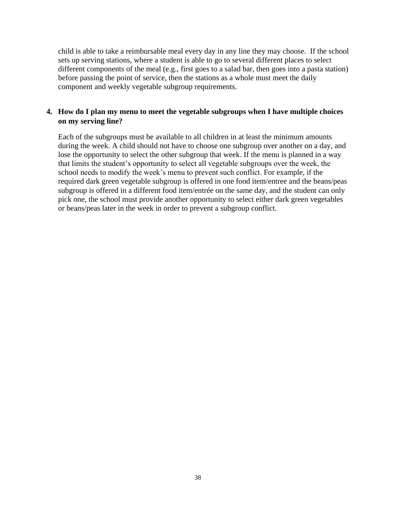child is able to take a reimbursable meal every day in any line they may choose. If the school sets up serving stations, where a student is able to go to several different places to select different components of the meal (e.g., first goes to a salad bar, then goes into a pasta station) before passing the point of service, then the stations as a whole must meet the daily component and weekly vegetable subgroup requirements.

# **4. How do I plan my menu to meet the vegetable subgroups when I have multiple choices on my serving line?**

Each of the subgroups must be available to all children in at least the minimum amounts during the week. A child should not have to choose one subgroup over another on a day, and lose the opportunity to select the other subgroup that week. If the menu is planned in a way that limits the student's opportunity to select all vegetable subgroups over the week, the school needs to modify the week's menu to prevent such conflict. For example, if the required dark green vegetable subgroup is offered in one food item/entree and the beans/peas subgroup is offered in a different food item/entrée on the same day, and the student can only pick one, the school must provide another opportunity to select either dark green vegetables or beans/peas later in the week in order to prevent a subgroup conflict.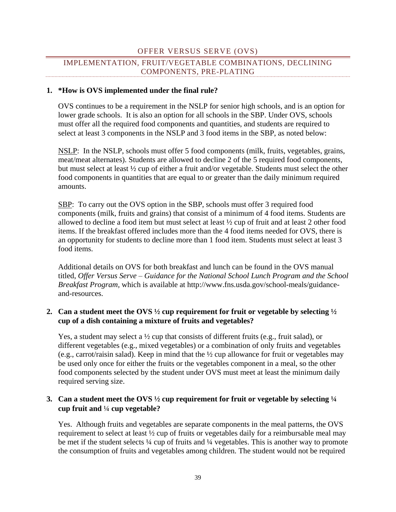# OFFER VERSUS SERVE (OVS)

# <span id="page-39-0"></span>IMPLEMENTATION, FRUIT/VEGETABLE COMBINATIONS, DECLINING COMPONENTS, PRE-PLATING

#### **1. \*How is OVS implemented under the final rule?**

OVS continues to be a requirement in the NSLP for senior high schools, and is an option for lower grade schools. It is also an option for all schools in the SBP. Under OVS, schools must offer all the required food components and quantities, and students are required to select at least 3 components in the NSLP and 3 food items in the SBP, as noted below:

NSLP: In the NSLP, schools must offer 5 food components (milk, fruits, vegetables, grains, meat/meat alternates). Students are allowed to decline 2 of the 5 required food components, but must select at least ½ cup of either a fruit and/or vegetable. Students must select the other food components in quantities that are equal to or greater than the daily minimum required amounts.

SBP: To carry out the OVS option in the SBP, schools must offer 3 required food components (milk, fruits and grains) that consist of a minimum of 4 food items. Students are allowed to decline a food item but must select at least ½ cup of fruit and at least 2 other food items. If the breakfast offered includes more than the 4 food items needed for OVS, there is an opportunity for students to decline more than 1 food item. Students must select at least 3 food items.

Additional details on OVS for both breakfast and lunch can be found in the OVS manual titled, *Offer Versus Serve – Guidance for the National School Lunch Program and the School Breakfast Program,* which is available at http://www.fns.usda.gov/school-meals/guidanceand-resources.

### **2. Can a student meet the OVS ½ cup requirement for fruit or vegetable by selecting ½ cup of a dish containing a mixture of fruits and vegetables?**

Yes, a student may select a ½ cup that consists of different fruits (e.g., fruit salad), or different vegetables (e.g., mixed vegetables) or a combination of only fruits and vegetables (e.g., carrot/raisin salad). Keep in mind that the ½ cup allowance for fruit or vegetables may be used only once for either the fruits or the vegetables component in a meal, so the other food components selected by the student under OVS must meet at least the minimum daily required serving size.

# **3. Can a student meet the OVS ½ cup requirement for fruit or vegetable by selecting ¼ cup fruit and** ¼ **cup vegetable?**

Yes. Although fruits and vegetables are separate components in the meal patterns, the OVS requirement to select at least ½ cup of fruits or vegetables daily for a reimbursable meal may be met if the student selects ¼ cup of fruits and ¼ vegetables. This is another way to promote the consumption of fruits and vegetables among children. The student would not be required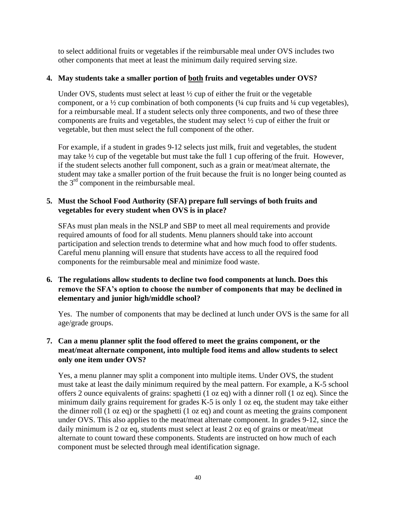to select additional fruits or vegetables if the reimbursable meal under OVS includes two other components that meet at least the minimum daily required serving size.

# **4. May students take a smaller portion of both fruits and vegetables under OVS?**

Under OVS, students must select at least  $\frac{1}{2}$  cup of either the fruit or the vegetable component, or a ½ cup combination of both components (¼ cup fruits and ¼ cup vegetables), for a reimbursable meal. If a student selects only three components, and two of these three components are fruits and vegetables, the student may select ½ cup of either the fruit or vegetable, but then must select the full component of the other.

For example, if a student in grades 9-12 selects just milk, fruit and vegetables, the student may take ½ cup of the vegetable but must take the full 1 cup offering of the fruit. However, if the student selects another full component, such as a grain or meat/meat alternate, the student may take a smaller portion of the fruit because the fruit is no longer being counted as the  $3<sup>rd</sup>$  component in the reimbursable meal.

# **5. Must the School Food Authority (SFA) prepare full servings of both fruits and vegetables for every student when OVS is in place?**

SFAs must plan meals in the NSLP and SBP to meet all meal requirements and provide required amounts of food for all students. Menu planners should take into account participation and selection trends to determine what and how much food to offer students. Careful menu planning will ensure that students have access to all the required food components for the reimbursable meal and minimize food waste.

# **6. The regulations allow students to decline two food components at lunch. Does this remove the SFA's option to choose the number of components that may be declined in elementary and junior high/middle school?**

Yes. The number of components that may be declined at lunch under OVS is the same for all age/grade groups.

# **7. Can a menu planner split the food offered to meet the grains component, or the meat/meat alternate component, into multiple food items and allow students to select only one item under OVS?**

Yes, a menu planner may split a component into multiple items. Under OVS, the student must take at least the daily minimum required by the meal pattern. For example, a K-5 school offers 2 ounce equivalents of grains: spaghetti (1 oz eq) with a dinner roll (1 oz eq). Since the minimum daily grains requirement for grades K-5 is only 1 oz eq, the student may take either the dinner roll (1 oz eq) or the spaghetti (1 oz eq) and count as meeting the grains component under OVS. This also applies to the meat/meat alternate component. In grades 9-12, since the daily minimum is 2 oz eq, students must select at least 2 oz eq of grains or meat/meat alternate to count toward these components. Students are instructed on how much of each component must be selected through meal identification signage.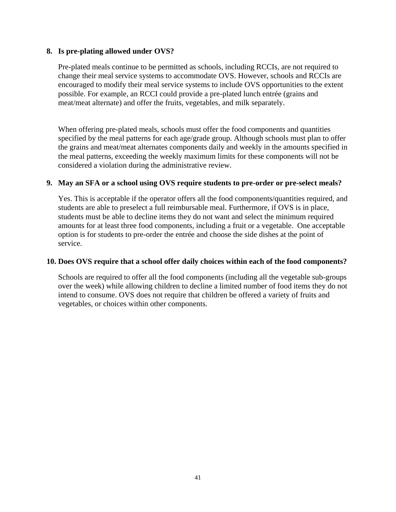### **8. Is pre-plating allowed under OVS?**

Pre-plated meals continue to be permitted as schools, including RCCIs, are not required to change their meal service systems to accommodate OVS. However, schools and RCCIs are encouraged to modify their meal service systems to include OVS opportunities to the extent possible. For example, an RCCI could provide a pre-plated lunch entrée (grains and meat/meat alternate) and offer the fruits, vegetables, and milk separately.

When offering pre-plated meals, schools must offer the food components and quantities specified by the meal patterns for each age/grade group. Although schools must plan to offer the grains and meat/meat alternates components daily and weekly in the amounts specified in the meal patterns, exceeding the weekly maximum limits for these components will not be considered a violation during the administrative review.

# **9. May an SFA or a school using OVS require students to pre-order or pre-select meals?**

Yes. This is acceptable if the operator offers all the food components/quantities required, and students are able to preselect a full reimbursable meal. Furthermore, if OVS is in place, students must be able to decline items they do not want and select the minimum required amounts for at least three food components, including a fruit or a vegetable. One acceptable option is for students to pre-order the entrée and choose the side dishes at the point of service.

### **10. Does OVS require that a school offer daily choices within each of the food components?**

Schools are required to offer all the food components (including all the vegetable sub-groups over the week) while allowing children to decline a limited number of food items they do not intend to consume. OVS does not require that children be offered a variety of fruits and vegetables, or choices within other components.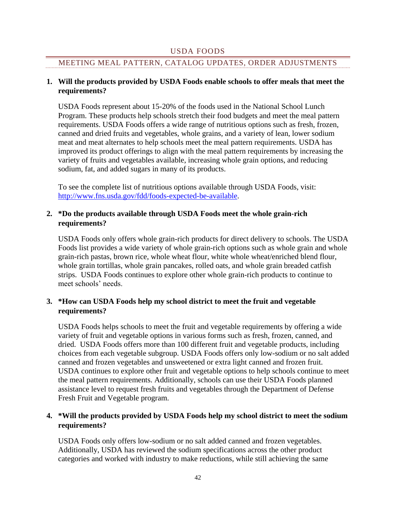# USDA FOODS

### <span id="page-42-0"></span>MEETING MEAL PATTERN, CATALOG UPDATES, ORDER ADJUSTMENTS

### **1. Will the products provided by USDA Foods enable schools to offer meals that meet the requirements?**

USDA Foods represent about 15-20% of the foods used in the National School Lunch Program. These products help schools stretch their food budgets and meet the meal pattern requirements. USDA Foods offers a wide range of nutritious options such as fresh, frozen, canned and dried fruits and vegetables, whole grains, and a variety of lean, lower sodium meat and meat alternates to help schools meet the meal pattern requirements. USDA has improved its product offerings to align with the meal pattern requirements by increasing the variety of fruits and vegetables available, increasing whole grain options, and reducing sodium, fat, and added sugars in many of its products.

To see the complete list of nutritious options available through USDA Foods, visit: [http://www.fns.usda.gov/fdd/foods-expected-be-available.](http://www.fns.usda.gov/fdd/foods-expected-be-available)

# **2. \*Do the products available through USDA Foods meet the whole grain-rich requirements?**

USDA Foods only offers whole grain-rich products for direct delivery to schools. The USDA Foods list provides a wide variety of whole grain-rich options such as whole grain and whole grain-rich pastas, brown rice, whole wheat flour, white whole wheat/enriched blend flour, whole grain tortillas, whole grain pancakes, rolled oats, and whole grain breaded catfish strips. USDA Foods continues to explore other whole grain-rich products to continue to meet schools' needs.

# **3. \*How can USDA Foods help my school district to meet the fruit and vegetable requirements?**

USDA Foods helps schools to meet the fruit and vegetable requirements by offering a wide variety of fruit and vegetable options in various forms such as fresh, frozen, canned, and dried. USDA Foods offers more than 100 different fruit and vegetable products, including choices from each vegetable subgroup. USDA Foods offers only low-sodium or no salt added canned and frozen vegetables and unsweetened or extra light canned and frozen fruit. USDA continues to explore other fruit and vegetable options to help schools continue to meet the meal pattern requirements. Additionally, schools can use their USDA Foods planned assistance level to request fresh fruits and vegetables through the Department of Defense Fresh Fruit and Vegetable program.

# **4. \*Will the products provided by USDA Foods help my school district to meet the sodium requirements?**

USDA Foods only offers low-sodium or no salt added canned and frozen vegetables. Additionally, USDA has reviewed the sodium specifications across the other product categories and worked with industry to make reductions, while still achieving the same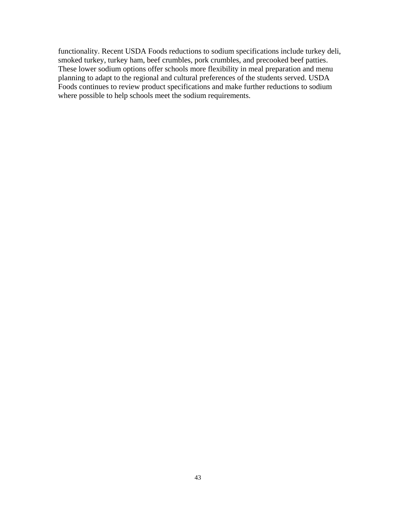functionality. Recent USDA Foods reductions to sodium specifications include turkey deli, smoked turkey, turkey ham, beef crumbles, pork crumbles, and precooked beef patties. These lower sodium options offer schools more flexibility in meal preparation and menu planning to adapt to the regional and cultural preferences of the students served. USDA Foods continues to review product specifications and make further reductions to sodium where possible to help schools meet the sodium requirements.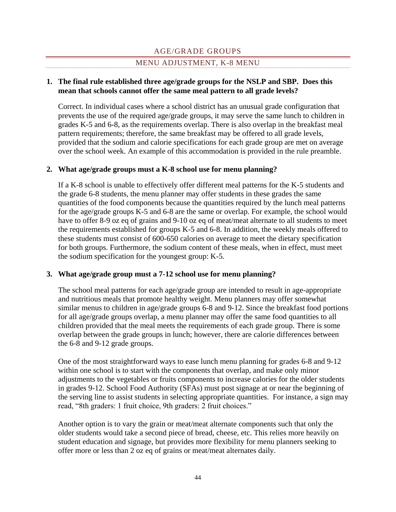# AGE/GRADE GROUPS

### MENU ADJUSTMENT, K-8 MENU

## <span id="page-44-0"></span>**1. The final rule established three age/grade groups for the NSLP and SBP. Does this mean that schools cannot offer the same meal pattern to all grade levels?**

Correct. In individual cases where a school district has an unusual grade configuration that prevents the use of the required age/grade groups, it may serve the same lunch to children in grades K-5 and 6-8, as the requirements overlap. There is also overlap in the breakfast meal pattern requirements; therefore, the same breakfast may be offered to all grade levels, provided that the sodium and calorie specifications for each grade group are met on average over the school week. An example of this accommodation is provided in the rule preamble.

### **2. What age/grade groups must a K-8 school use for menu planning?**

If a K-8 school is unable to effectively offer different meal patterns for the K-5 students and the grade 6-8 students, the menu planner may offer students in these grades the same quantities of the food components because the quantities required by the lunch meal patterns for the age/grade groups K-5 and 6-8 are the same or overlap. For example, the school would have to offer 8-9 oz eq of grains and 9-10 oz eq of meat/meat alternate to all students to meet the requirements established for groups K-5 and 6-8. In addition, the weekly meals offered to these students must consist of 600-650 calories on average to meet the dietary specification for both groups. Furthermore, the sodium content of these meals, when in effect, must meet the sodium specification for the youngest group: K-5.

### **3. What age/grade group must a 7-12 school use for menu planning?**

The school meal patterns for each age/grade group are intended to result in age-appropriate and nutritious meals that promote healthy weight. Menu planners may offer somewhat similar menus to children in age/grade groups 6-8 and 9-12. Since the breakfast food portions for all age/grade groups overlap, a menu planner may offer the same food quantities to all children provided that the meal meets the requirements of each grade group. There is some overlap between the grade groups in lunch; however, there are calorie differences between the 6-8 and 9-12 grade groups.

One of the most straightforward ways to ease lunch menu planning for grades 6-8 and 9-12 within one school is to start with the components that overlap, and make only minor adjustments to the vegetables or fruits components to increase calories for the older students in grades 9-12. School Food Authority (SFAs) must post signage at or near the beginning of the serving line to assist students in selecting appropriate quantities. For instance, a sign may read, "8th graders: 1 fruit choice, 9th graders: 2 fruit choices."

Another option is to vary the grain or meat/meat alternate components such that only the older students would take a second piece of bread, cheese, etc. This relies more heavily on student education and signage, but provides more flexibility for menu planners seeking to offer more or less than 2 oz eq of grains or meat/meat alternates daily.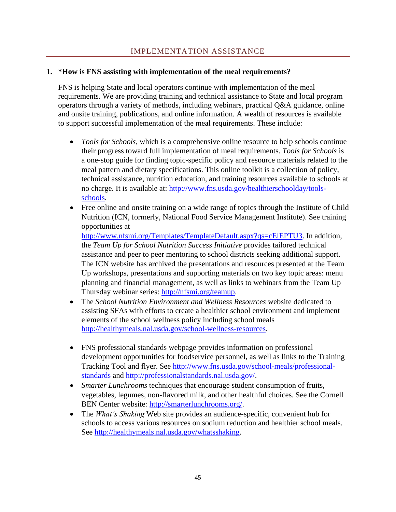# IMPLEMENTATION ASSISTANCE

### <span id="page-45-0"></span>**1. \*How is FNS assisting with implementation of the meal requirements?**

FNS is helping State and local operators continue with implementation of the meal requirements. We are providing training and technical assistance to State and local program operators through a variety of methods, including webinars, practical Q&A guidance, online and onsite training, publications, and online information. A wealth of resources is available to support successful implementation of the meal requirements. These include:

- *Tools for Schools,* which is a comprehensive online resource to help schools continue their progress toward full implementation of meal requirements. *Tools for Schools* is a one-stop guide for finding topic-specific policy and resource materials related to the meal pattern and dietary specifications. This online toolkit is a collection of policy, technical assistance, nutrition education, and training resources available to schools at no charge. It is available at: [http://www.fns.usda.gov/healthierschoolday/tools](http://www.fns.usda.gov/healthierschoolday/tools-schools)[schools.](http://www.fns.usda.gov/healthierschoolday/tools-schools)
- Free online and onsite training on a wide range of topics through the Institute of Child Nutrition (ICN, formerly, National Food Service Management Institute). See training opportunities at

[http://www.nfsmi.org/Templates/TemplateDefault.aspx?qs=cElEPTU3.](http://www.nfsmi.org/Templates/TemplateDefault.aspx?qs=cElEPTU3) In addition, the *Team Up for School Nutrition Success Initiative* provides tailored technical assistance and peer to peer mentoring to school districts seeking additional support. The ICN website has archived the presentations and resources presented at the Team Up workshops, presentations and supporting materials on two key topic areas: menu planning and financial management, as well as links to webinars from the Team Up Thursday webinar series: [http://nfsmi.org/teamup.](http://nfsmi.org/teamup)

- The *School Nutrition Environment and Wellness Resources* website dedicated to assisting SFAs with efforts to create a healthier school environment and implement elements of the school wellness policy including school meals [http://healthymeals.nal.usda.gov/school-wellness-resources.](http://healthymeals.nal.usda.gov/school-wellness-resources)
- FNS professional standards webpage provides information on professional development opportunities for foodservice personnel, as well as links to the Training Tracking Tool and flyer. See [http://www.fns.usda.gov/school-meals/professional](http://www.fns.usda.gov/school-meals/professional-standards)[standards](http://www.fns.usda.gov/school-meals/professional-standards) and [http://professionalstandards.nal.usda.gov/.](http://professionalstandards.nal.usda.gov/)
- *Smarter Lunchrooms* techniques that encourage student consumption of fruits, vegetables, legumes, non-flavored milk, and other healthful choices. See the Cornell BEN Center website: [http://smarterlunchrooms.org/.](http://smarterlunchrooms.org/)
- The *What's Shaking* Web site provides an audience-specific, convenient hub for schools to access various resources on sodium reduction and healthier school meals. See [http://healthymeals.nal.usda.gov/whatsshaking.](http://healthymeals.nal.usda.gov/whatsshaking)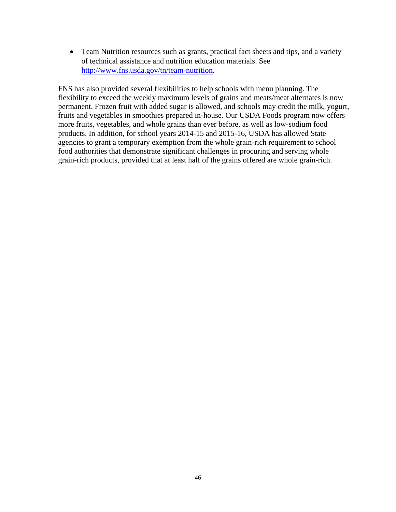• Team Nutrition resources such as grants, practical fact sheets and tips, and a variety of technical assistance and nutrition education materials. See [http://www.fns.usda.gov/tn/team-nutrition.](http://www.fns.usda.gov/tn/team-nutrition)

FNS has also provided several flexibilities to help schools with menu planning. The flexibility to exceed the weekly maximum levels of grains and meats/meat alternates is now permanent. Frozen fruit with added sugar is allowed, and schools may credit the milk, yogurt, fruits and vegetables in smoothies prepared in-house. Our USDA Foods program now offers more fruits, vegetables, and whole grains than ever before, as well as low-sodium food products. In addition, for school years 2014-15 and 2015-16, USDA has allowed State agencies to grant a temporary exemption from the whole grain-rich requirement to school food authorities that demonstrate significant challenges in procuring and serving whole grain-rich products, provided that at least half of the grains offered are whole grain-rich.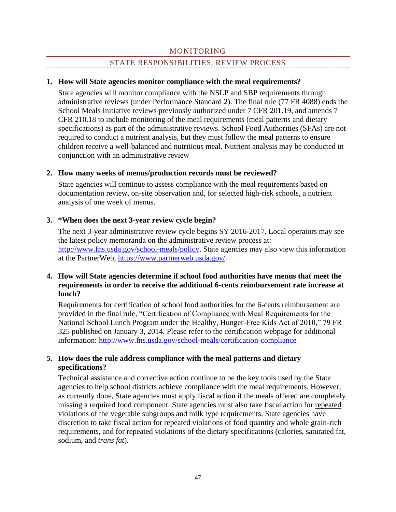# STATE RESPONSIBILITIES, REVIEW PROCESS

### <span id="page-47-0"></span>**1. How will State agencies monitor compliance with the meal requirements?**

State agencies will monitor compliance with the NSLP and SBP requirements through administrative reviews (under Performance Standard 2). The final rule (77 FR 4088) ends the School Meals Initiative reviews previously authorized under 7 CFR 201.19, and amends 7 CFR 210.18 to include monitoring of the meal requirements (meal patterns and dietary specifications) as part of the administrative reviews. School Food Authorities (SFAs) are not required to conduct a nutrient analysis, but they must follow the meal patterns to ensure children receive a well-balanced and nutritious meal. Nutrient analysis may be conducted in conjunction with an administrative review

### **2. How many weeks of menus/production records must be reviewed?**

State agencies will continue to assess compliance with the meal requirements based on documentation review, on-site observation and, for selected high-risk schools, a nutrient analysis of one week of menus.

# **3. \*When does the next 3-year review cycle begin?**

The next 3-year administrative review cycle begins SY 2016-2017. Local operators may see the latest policy memoranda on the administrative review process at: [http://www.fns.usda.gov/school-meals/policy.](http://www.fns.usda.gov/school-meals/policy) State agencies may also view this information at the PartnerWeb, [https://www.partnerweb.usda.gov/.](https://www.partnerweb.usda.gov/)

## **4. How will State agencies determine if school food authorities have menus that meet the requirements in order to receive the additional 6-cents reimbursement rate increase at lunch?**

Requirements for certification of school food authorities for the 6-cents reimbursement are provided in the final rule, "Certification of Compliance with Meal Requirements for the National School Lunch Program under the Healthy, Hunger-Free Kids Act of 2010," 79 FR 325 published on January 3, 2014. Please refer to the certification webpage for additional information:<http://www.fns.usda.gov/school-meals/certification-compliance>

# **5. How does the rule address compliance with the meal patterns and dietary specifications?**

Technical assistance and corrective action continue to be the key tools used by the State agencies to help school districts achieve compliance with the meal requirements. However, as currently done, State agencies must apply fiscal action if the meals offered are completely missing a required food component. State agencies must also take fiscal action for repeated violations of the vegetable subgroups and milk type requirements. State agencies have discretion to take fiscal action for repeated violations of food quantity and whole grain-rich requirements, and for repeated violations of the dietary specifications (calories, saturated fat, sodium, and *trans fat*).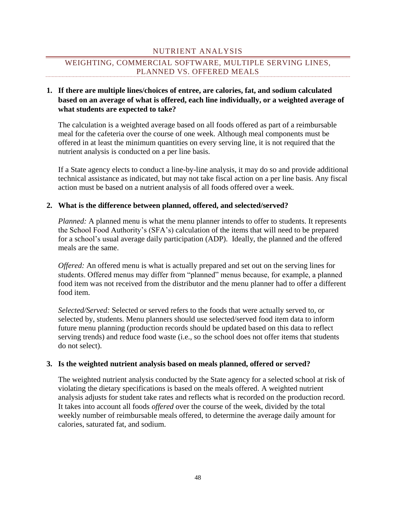# NUTRIENT ANALYSIS

# <span id="page-48-0"></span>WEIGHTING, COMMERCIAL SOFTWARE, MULTIPLE SERVING LINES, PLANNED VS. OFFERED MEALS

# **1. If there are multiple lines/choices of entree, are calories, fat, and sodium calculated based on an average of what is offered, each line individually, or a weighted average of what students are expected to take?**

The calculation is a weighted average based on all foods offered as part of a reimbursable meal for the cafeteria over the course of one week. Although meal components must be offered in at least the minimum quantities on every serving line, it is not required that the nutrient analysis is conducted on a per line basis.

If a State agency elects to conduct a line-by-line analysis, it may do so and provide additional technical assistance as indicated, but may not take fiscal action on a per line basis. Any fiscal action must be based on a nutrient analysis of all foods offered over a week.

### **2. What is the difference between planned, offered, and selected/served?**

*Planned:* A planned menu is what the menu planner intends to offer to students. It represents the School Food Authority's (SFA's) calculation of the items that will need to be prepared for a school's usual average daily participation (ADP). Ideally, the planned and the offered meals are the same.

*Offered:* An offered menu is what is actually prepared and set out on the serving lines for students. Offered menus may differ from "planned" menus because, for example, a planned food item was not received from the distributor and the menu planner had to offer a different food item.

*Selected/Served:* Selected or served refers to the foods that were actually served to, or selected by, students. Menu planners should use selected/served food item data to inform future menu planning (production records should be updated based on this data to reflect serving trends) and reduce food waste (i.e., so the school does not offer items that students do not select).

### **3. Is the weighted nutrient analysis based on meals planned, offered or served?**

The weighted nutrient analysis conducted by the State agency for a selected school at risk of violating the dietary specifications is based on the meals offered. A weighted nutrient analysis adjusts for student take rates and reflects what is recorded on the production record. It takes into account all foods *offered* over the course of the week, divided by the total weekly number of reimbursable meals offered, to determine the average daily amount for calories, saturated fat, and sodium.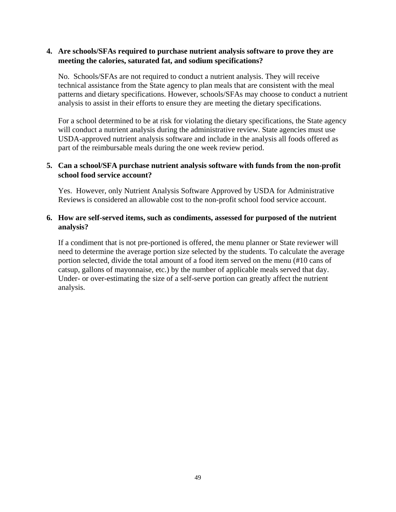### **4. Are schools/SFAs required to purchase nutrient analysis software to prove they are meeting the calories, saturated fat, and sodium specifications?**

No. Schools/SFAs are not required to conduct a nutrient analysis. They will receive technical assistance from the State agency to plan meals that are consistent with the meal patterns and dietary specifications. However, schools/SFAs may choose to conduct a nutrient analysis to assist in their efforts to ensure they are meeting the dietary specifications.

For a school determined to be at risk for violating the dietary specifications, the State agency will conduct a nutrient analysis during the administrative review. State agencies must use USDA-approved nutrient analysis software and include in the analysis all foods offered as part of the reimbursable meals during the one week review period.

# **5. Can a school/SFA purchase nutrient analysis software with funds from the non-profit school food service account?**

Yes. However, only Nutrient Analysis Software Approved by USDA for Administrative Reviews is considered an allowable cost to the non-profit school food service account.

# **6. How are self-served items, such as condiments, assessed for purposed of the nutrient analysis?**

If a condiment that is not pre-portioned is offered, the menu planner or State reviewer will need to determine the average portion size selected by the students. To calculate the average portion selected, divide the total amount of a food item served on the menu (#10 cans of catsup, gallons of mayonnaise, etc.) by the number of applicable meals served that day. Under- or over-estimating the size of a self-serve portion can greatly affect the nutrient analysis.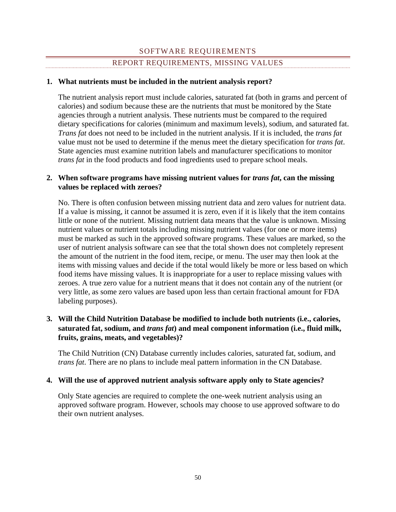# SOFTWARE REQUIREMENTS REPORT REQUIREMENTS, MISSING VALUES

# <span id="page-50-0"></span>**1. What nutrients must be included in the nutrient analysis report?**

The nutrient analysis report must include calories, saturated fat (both in grams and percent of calories) and sodium because these are the nutrients that must be monitored by the State agencies through a nutrient analysis. These nutrients must be compared to the required dietary specifications for calories (minimum and maximum levels), sodium, and saturated fat. *Trans fat* does not need to be included in the nutrient analysis. If it is included, the *trans fat* value must not be used to determine if the menus meet the dietary specification for *trans fat*. State agencies must examine nutrition labels and manufacturer specifications to monitor *trans fat* in the food products and food ingredients used to prepare school meals.

# **2.** When software programs have missing nutrient values for *trans fat*, can the missing **values be replaced with zeroes?**

No. There is often confusion between missing nutrient data and zero values for nutrient data. If a value is missing, it cannot be assumed it is zero, even if it is likely that the item contains little or none of the nutrient. Missing nutrient data means that the value is unknown. Missing nutrient values or nutrient totals including missing nutrient values (for one or more items) must be marked as such in the approved software programs. These values are marked, so the user of nutrient analysis software can see that the total shown does not completely represent the amount of the nutrient in the food item, recipe, or menu. The user may then look at the items with missing values and decide if the total would likely be more or less based on which food items have missing values. It is inappropriate for a user to replace missing values with zeroes. A true zero value for a nutrient means that it does not contain any of the nutrient (or very little, as some zero values are based upon less than certain fractional amount for FDA labeling purposes).

# **3. Will the Child Nutrition Database be modified to include both nutrients (i.e., calories, saturated fat, sodium, and** *trans fat***) and meal component information (i.e., fluid milk, fruits, grains, meats, and vegetables)?**

The Child Nutrition (CN) Database currently includes calories, saturated fat, sodium, and *trans fat*. There are no plans to include meal pattern information in the CN Database.

### **4. Will the use of approved nutrient analysis software apply only to State agencies?**

Only State agencies are required to complete the one-week nutrient analysis using an approved software program. However, schools may choose to use approved software to do their own nutrient analyses.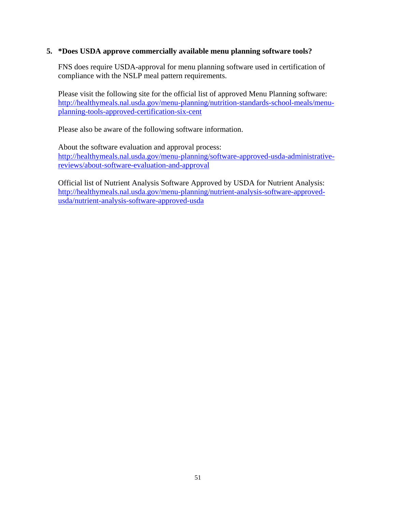### **5. \*Does USDA approve commercially available menu planning software tools?**

FNS does require USDA-approval for menu planning software used in certification of compliance with the NSLP meal pattern requirements.

Please visit the following site for the official list of approved Menu Planning software: [http://healthymeals.nal.usda.gov/menu-planning/nutrition-standards-school-meals/menu](http://healthymeals.nal.usda.gov/menu-planning/nutrition-standards-school-meals/menu-planning-tools-approved-certification-six-cent)[planning-tools-approved-certification-six-cent](http://healthymeals.nal.usda.gov/menu-planning/nutrition-standards-school-meals/menu-planning-tools-approved-certification-six-cent)

Please also be aware of the following software information.

About the software evaluation and approval process: [http://healthymeals.nal.usda.gov/menu-planning/software-approved-usda-administrative](http://healthymeals.nal.usda.gov/menu-planning/software-approved-usda-administrative-reviews/about-software-evaluation-and-approval)[reviews/about-software-evaluation-and-approval](http://healthymeals.nal.usda.gov/menu-planning/software-approved-usda-administrative-reviews/about-software-evaluation-and-approval)

Official list of Nutrient Analysis Software Approved by USDA for Nutrient Analysis: [http://healthymeals.nal.usda.gov/menu-planning/nutrient-analysis-software-approved](http://healthymeals.nal.usda.gov/menu-planning/nutrient-analysis-software-approved-usda/nutrient-analysis-software-approved-usda)[usda/nutrient-analysis-software-approved-usda](http://healthymeals.nal.usda.gov/menu-planning/nutrient-analysis-software-approved-usda/nutrient-analysis-software-approved-usda)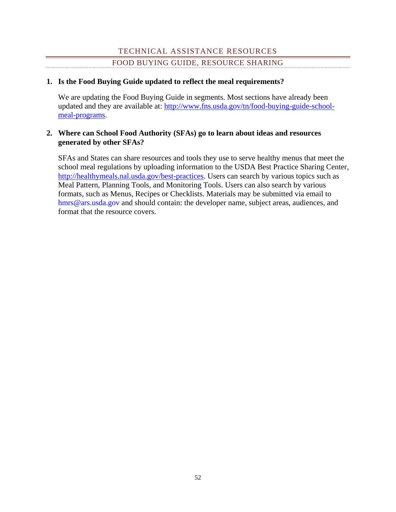# TECHNICAL ASSISTANCE RESOURCES FOOD BUYING GUIDE, RESOURCE SHARING

# <span id="page-52-0"></span>**1. Is the Food Buying Guide updated to reflect the meal requirements?**

We are updating the Food Buying Guide in segments. Most sections have already been updated and they are available at: [http://www.fns.usda.gov/tn/food-buying-guide-school](http://www.fns.usda.gov/tn/food-buying-guide-school-meal-programs)[meal-programs.](http://www.fns.usda.gov/tn/food-buying-guide-school-meal-programs)

# **2. Where can School Food Authority (SFAs) go to learn about ideas and resources generated by other SFAs?**

SFAs and States can share resources and tools they use to serve healthy menus that meet the school meal regulations by uploading information to the USDA Best Practice Sharing Center, [http://healthymeals.nal.usda.gov/best-practices.](http://healthymeals.nal.usda.gov/best-practices) Users can search by various topics such as Meal Pattern, Planning Tools, and Monitoring Tools. Users can also search by various formats, such as Menus, Recipes or Checklists. Materials may be submitted via email to [hmrs@ars.usda.gov](mailto:hmrs@ars.usda.gov) and should contain: the developer name, subject areas, audiences, and format that the resource covers.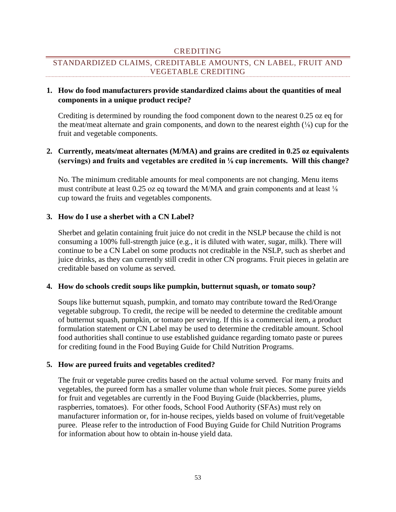### CREDITING

# <span id="page-53-0"></span>STANDARDIZED CLAIMS, CREDITABLE AMOUNTS, CN LABEL, FRUIT AND VEGETABLE CREDITING

# **1. How do food manufacturers provide standardized claims about the quantities of meal components in a unique product recipe?**

Crediting is determined by rounding the food component down to the nearest 0.25 oz eq for the meat/meat alternate and grain components, and down to the nearest eighth  $(\frac{1}{8})$  cup for the fruit and vegetable components.

# **2. Currently, meats/meat alternates (M/MA) and grains are credited in 0.25 oz equivalents (servings) and fruits and vegetables are credited in ⅛ cup increments. Will this change?**

No. The minimum creditable amounts for meal components are not changing. Menu items must contribute at least 0.25 oz eq toward the M/MA and grain components and at least ⅛ cup toward the fruits and vegetables components.

# **3. How do I use a sherbet with a CN Label?**

Sherbet and gelatin containing fruit juice do not credit in the NSLP because the child is not consuming a 100% full-strength juice (e.g., it is diluted with water, sugar, milk). There will continue to be a CN Label on some products not creditable in the NSLP, such as sherbet and juice drinks, as they can currently still credit in other CN programs. Fruit pieces in gelatin are creditable based on volume as served.

### **4. How do schools credit soups like pumpkin, butternut squash, or tomato soup?**

Soups like butternut squash, pumpkin, and tomato may contribute toward the Red/Orange vegetable subgroup. To credit, the recipe will be needed to determine the creditable amount of butternut squash, pumpkin, or tomato per serving. If this is a commercial item, a product formulation statement or CN Label may be used to determine the creditable amount. School food authorities shall continue to use established guidance regarding tomato paste or purees for crediting found in the Food Buying Guide for Child Nutrition Programs.

### **5. How are pureed fruits and vegetables credited?**

The fruit or vegetable puree credits based on the actual volume served. For many fruits and vegetables, the pureed form has a smaller volume than whole fruit pieces. Some puree yields for fruit and vegetables are currently in the Food Buying Guide (blackberries, plums, raspberries, tomatoes). For other foods, School Food Authority (SFAs) must rely on manufacturer information or, for in-house recipes, yields based on volume of fruit/vegetable puree. Please refer to the introduction of Food Buying Guide for Child Nutrition Programs for information about how to obtain in-house yield data.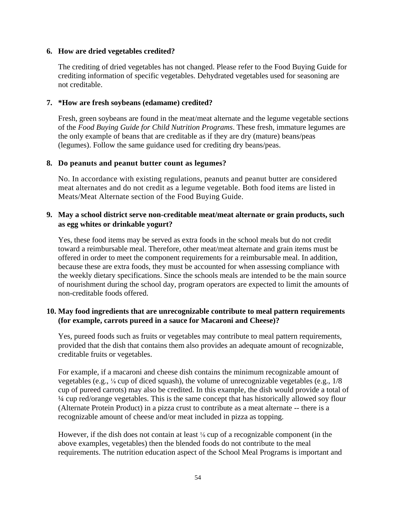### **6. How are dried vegetables credited?**

The crediting of dried vegetables has not changed. Please refer to the Food Buying Guide for crediting information of specific vegetables. Dehydrated vegetables used for seasoning are not creditable.

# **7. \*How are fresh soybeans (edamame) credited?**

Fresh, green soybeans are found in the meat/meat alternate and the legume vegetable sections of the *Food Buying Guide for Child Nutrition Programs*. These fresh, immature legumes are the only example of beans that are creditable as if they are dry (mature) beans/peas (legumes). Follow the same guidance used for crediting dry beans/peas.

# **8. Do peanuts and peanut butter count as legumes?**

No. In accordance with existing regulations, peanuts and peanut butter are considered meat alternates and do not credit as a legume vegetable. Both food items are listed in Meats/Meat Alternate section of the Food Buying Guide.

# **9. May a school district serve non-creditable meat/meat alternate or grain products, such as egg whites or drinkable yogurt?**

Yes, these food items may be served as extra foods in the school meals but do not credit toward a reimbursable meal. Therefore, other meat/meat alternate and grain items must be offered in order to meet the component requirements for a reimbursable meal. In addition, because these are extra foods, they must be accounted for when assessing compliance with the weekly dietary specifications. Since the schools meals are intended to be the main source of nourishment during the school day, program operators are expected to limit the amounts of non-creditable foods offered.

# **10. May food ingredients that are unrecognizable contribute to meal pattern requirements (for example, carrots pureed in a sauce for Macaroni and Cheese)?**

Yes, pureed foods such as fruits or vegetables may contribute to meal pattern requirements, provided that the dish that contains them also provides an adequate amount of recognizable, creditable fruits or vegetables.

For example, if a macaroni and cheese dish contains the minimum recognizable amount of vegetables (e.g.,  $\frac{1}{8}$  cup of diced squash), the volume of unrecognizable vegetables (e.g.,  $1/8$ ) cup of pureed carrots) may also be credited. In this example, the dish would provide a total of ¼ cup red/orange vegetables. This is the same concept that has historically allowed soy flour (Alternate Protein Product) in a pizza crust to contribute as a meat alternate -- there is a recognizable amount of cheese and/or meat included in pizza as topping.

However, if the dish does not contain at least ⅛ cup of a recognizable component (in the above examples, vegetables) then the blended foods do not contribute to the meal requirements. The nutrition education aspect of the School Meal Programs is important and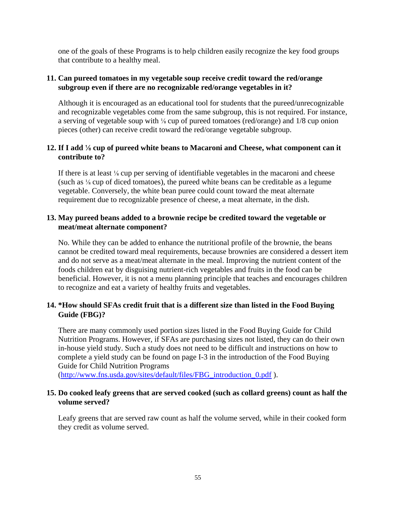one of the goals of these Programs is to help children easily recognize the key food groups that contribute to a healthy meal.

# **11. Can pureed tomatoes in my vegetable soup receive credit toward the red/orange subgroup even if there are no recognizable red/orange vegetables in it?**

Although it is encouraged as an educational tool for students that the pureed/unrecognizable and recognizable vegetables come from the same subgroup, this is not required. For instance, a serving of vegetable soup with ⅛ cup of pureed tomatoes (red/orange) and 1/8 cup onion pieces (other) can receive credit toward the red/orange vegetable subgroup.

# **12. If I add** ⅛ **cup of pureed white beans to Macaroni and Cheese, what component can it contribute to?**

If there is at least ⅛ cup per serving of identifiable vegetables in the macaroni and cheese (such as  $\frac{1}{8}$  cup of diced tomatoes), the pureed white beans can be creditable as a legume vegetable. Conversely, the white bean puree could count toward the meat alternate requirement due to recognizable presence of cheese, a meat alternate, in the dish.

# **13. May pureed beans added to a brownie recipe be credited toward the vegetable or meat/meat alternate component?**

No. While they can be added to enhance the nutritional profile of the brownie, the beans cannot be credited toward meal requirements, because brownies are considered a dessert item and do not serve as a meat/meat alternate in the meal. Improving the nutrient content of the foods children eat by disguising nutrient-rich vegetables and fruits in the food can be beneficial. However, it is not a menu planning principle that teaches and encourages children to recognize and eat a variety of healthy fruits and vegetables.

# **14. \*How should SFAs credit fruit that is a different size than listed in the Food Buying Guide (FBG)?**

There are many commonly used portion sizes listed in the Food Buying Guide for Child Nutrition Programs. However, if SFAs are purchasing sizes not listed, they can do their own in-house yield study. Such a study does not need to be difficult and instructions on how to complete a yield study can be found on page I-3 in the introduction of the Food Buying Guide for Child Nutrition Programs

[\(http://www.fns.usda.gov/sites/default/files/FBG\\_introduction\\_0.pdf](http://www.fns.usda.gov/sites/default/files/FBG_introduction_0.pdf)).

# **15. Do cooked leafy greens that are served cooked (such as collard greens) count as half the volume served?**

Leafy greens that are served raw count as half the volume served, while in their cooked form they credit as volume served.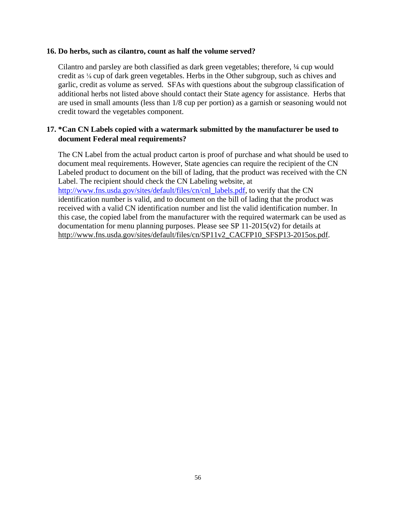#### **16. Do herbs, such as cilantro, count as half the volume served?**

Cilantro and parsley are both classified as dark green vegetables; therefore, ¼ cup would credit as ⅛ cup of dark green vegetables. Herbs in the Other subgroup, such as chives and garlic, credit as volume as served. SFAs with questions about the subgroup classification of additional herbs not listed above should contact their State agency for assistance. Herbs that are used in small amounts (less than 1/8 cup per portion) as a garnish or seasoning would not credit toward the vegetables component.

# **17. \*Can CN Labels copied with a watermark submitted by the manufacturer be used to document Federal meal requirements?**

The CN Label from the actual product carton is proof of purchase and what should be used to document meal requirements. However, State agencies can require the recipient of the CN Labeled product to document on the bill of lading, that the product was received with the CN Label. The recipient should check the CN Labeling website, at [http://www.fns.usda.gov/sites/default/files/cn/cnl\\_labels.pdf,](http://www.fns.usda.gov/sites/default/files/cn/cnl_labels.pdf) to verify that the CN identification number is valid, and to document on the bill of lading that the product was received with a valid CN identification number and list the valid identification number. In this case, the copied label from the manufacturer with the required watermark can be used as documentation for menu planning purposes. Please see SP  $11-2015(v2)$  for details at [http://www.fns.usda.gov/sites/default/files/cn/SP11v2\\_CACFP10\\_SFSP13-2015os.pdf.](http://www.fns.usda.gov/sites/default/files/cn/SP11v2_CACFP10_SFSP13-2015os.pdf)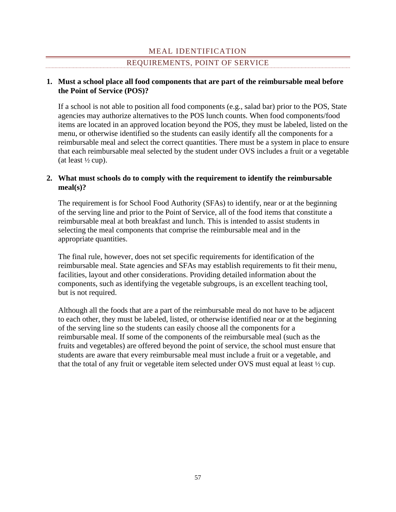# MEAL IDENTIFICATION

### REQUIREMENTS, POINT OF SERVICE

### <span id="page-57-0"></span>**1. Must a school place all food components that are part of the reimbursable meal before the Point of Service (POS)?**

If a school is not able to position all food components (e.g., salad bar) prior to the POS, State agencies may authorize alternatives to the POS lunch counts. When food components/food items are located in an approved location beyond the POS, they must be labeled, listed on the menu, or otherwise identified so the students can easily identify all the components for a reimbursable meal and select the correct quantities. There must be a system in place to ensure that each reimbursable meal selected by the student under OVS includes a fruit or a vegetable (at least  $\frac{1}{2}$  cup).

# **2. What must schools do to comply with the requirement to identify the reimbursable meal(s)?**

The requirement is for School Food Authority (SFAs) to identify, near or at the beginning of the serving line and prior to the Point of Service, all of the food items that constitute a reimbursable meal at both breakfast and lunch. This is intended to assist students in selecting the meal components that comprise the reimbursable meal and in the appropriate quantities.

The final rule, however, does not set specific requirements for identification of the reimbursable meal. State agencies and SFAs may establish requirements to fit their menu, facilities, layout and other considerations. Providing detailed information about the components, such as identifying the vegetable subgroups, is an excellent teaching tool, but is not required.

Although all the foods that are a part of the reimbursable meal do not have to be adjacent to each other, they must be labeled, listed, or otherwise identified near or at the beginning of the serving line so the students can easily choose all the components for a reimbursable meal. If some of the components of the reimbursable meal (such as the fruits and vegetables) are offered beyond the point of service, the school must ensure that students are aware that every reimbursable meal must include a fruit or a vegetable, and that the total of any fruit or vegetable item selected under OVS must equal at least ½ cup.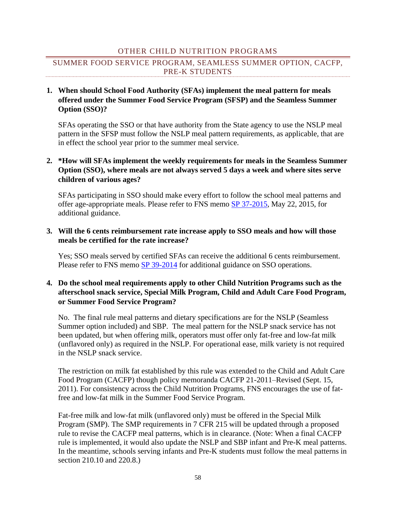### OTHER CHILD NUTRITION PROGRAMS

# <span id="page-58-0"></span>SUMMER FOOD SERVICE PROGRAM, SEAMLESS SUMMER OPTION, CACFP, PRE-K STUDENTS

# **1. When should School Food Authority (SFAs) implement the meal pattern for meals offered under the Summer Food Service Program (SFSP) and the Seamless Summer Option (SSO)?**

SFAs operating the SSO or that have authority from the State agency to use the NSLP meal pattern in the SFSP must follow the NSLP meal pattern requirements, as applicable, that are in effect the school year prior to the summer meal service.

# **2. \*How will SFAs implement the weekly requirements for meals in the Seamless Summer Option (SSO), where meals are not always served 5 days a week and where sites serve children of various ages?**

SFAs participating in SSO should make every effort to follow the school meal patterns and offer age-appropriate meals. Please refer to FNS memo [SP 37-2015,](http://www.fns.usda.gov/2015-edition-qas-nslp%E2%80%99s-seamless-summer-option) May 22, 2015, for additional guidance.

# **3. Will the 6 cents reimbursement rate increase apply to SSO meals and how will those meals be certified for the rate increase?**

Yes; SSO meals served by certified SFAs can receive the additional 6 cents reimbursement. Please refer to FNS memo [SP 39-2014](http://www.fns.usda.gov/sites/default/files/SP39-2014os.pdf) for additional guidance on SSO operations.

# **4. Do the school meal requirements apply to other Child Nutrition Programs such as the afterschool snack service, Special Milk Program, Child and Adult Care Food Program, or Summer Food Service Program?**

No. The final rule meal patterns and dietary specifications are for the NSLP (Seamless Summer option included) and SBP. The meal pattern for the NSLP snack service has not been updated, but when offering milk, operators must offer only fat-free and low-fat milk (unflavored only) as required in the NSLP. For operational ease, milk variety is not required in the NSLP snack service.

The restriction on milk fat established by this rule was extended to the Child and Adult Care Food Program (CACFP) though policy memoranda CACFP 21-2011–Revised (Sept. 15, 2011). For consistency across the Child Nutrition Programs, FNS encourages the use of fatfree and low-fat milk in the Summer Food Service Program.

Fat-free milk and low-fat milk (unflavored only) must be offered in the Special Milk Program (SMP). The SMP requirements in 7 CFR 215 will be updated through a proposed rule to revise the CACFP meal patterns, which is in clearance. (Note: When a final CACFP rule is implemented, it would also update the NSLP and SBP infant and Pre-K meal patterns. In the meantime, schools serving infants and Pre-K students must follow the meal patterns in section 210.10 and 220.8.)